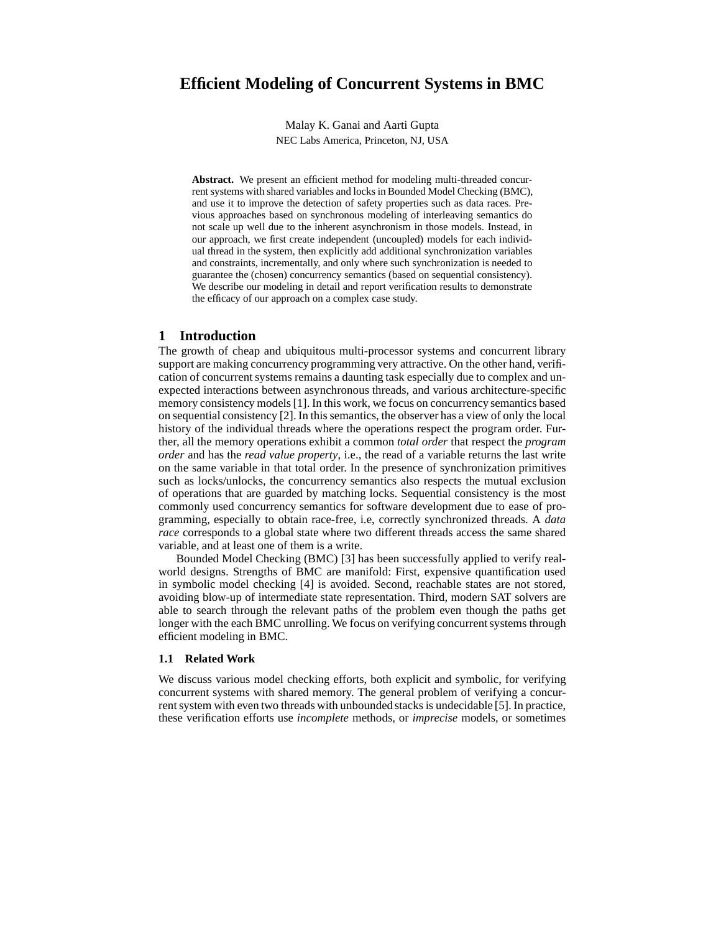# **Efficient Modeling of Concurrent Systems in BMC**

Malay K. Ganai and Aarti Gupta NEC Labs America, Princeton, NJ, USA

Abstract. We present an efficient method for modeling multi-threaded concurrent systems with shared variables and locks in Bounded Model Checking (BMC), and use it to improve the detection of safety properties such as data races. Previous approaches based on synchronous modeling of interleaving semantics do not scale up well due to the inherent asynchronism in those models. Instead, in our approach, we first create independent (uncoupled) models for each individual thread in the system, then explicitly add additional synchronization variables and constraints, incrementally, and only where such synchronization is needed to guarantee the (chosen) concurrency semantics (based on sequential consistency). We describe our modeling in detail and report verification results to demonstrate the efficacy of our approach on a complex case study.

## **1 Introduction**

The growth of cheap and ubiquitous multi-processor systems and concurrent library support are making concurrency programming very attractive. On the other hand, verification of concurrent systems remains a daunting task especially due to complex and unexpected interactions between asynchronous threads, and various architecture-specific memory consistency models [1]. In this work, we focus on concurrency semantics based on sequential consistency [2]. In this semantics, the observer has a view of only the local history of the individual threads where the operations respect the program order. Further, all the memory operations exhibit a common *total order* that respect the *program order* and has the *read value property*, i.e., the read of a variable returns the last write on the same variable in that total order. In the presence of synchronization primitives such as locks/unlocks, the concurrency semantics also respects the mutual exclusion of operations that are guarded by matching locks. Sequential consistency is the most commonly used concurrency semantics for software development due to ease of programming, especially to obtain race-free, i.e, correctly synchronized threads. A *data race* corresponds to a global state where two different threads access the same shared variable, and at least one of them is a write.

Bounded Model Checking (BMC) [3] has been successfully applied to verify realworld designs. Strengths of BMC are manifold: First, expensive quantification used in symbolic model checking [4] is avoided. Second, reachable states are not stored, avoiding blow-up of intermediate state representation. Third, modern SAT solvers are able to search through the relevant paths of the problem even though the paths get longer with the each BMC unrolling. We focus on verifying concurrent systems through efficient modeling in BMC.

## **1.1 Related Work**

We discuss various model checking efforts, both explicit and symbolic, for verifying concurrent systems with shared memory. The general problem of verifying a concurrent system with even two threads with unbounded stacks is undecidable [5]. In practice, these verification efforts use *incomplete* methods, or *imprecise* models, or sometimes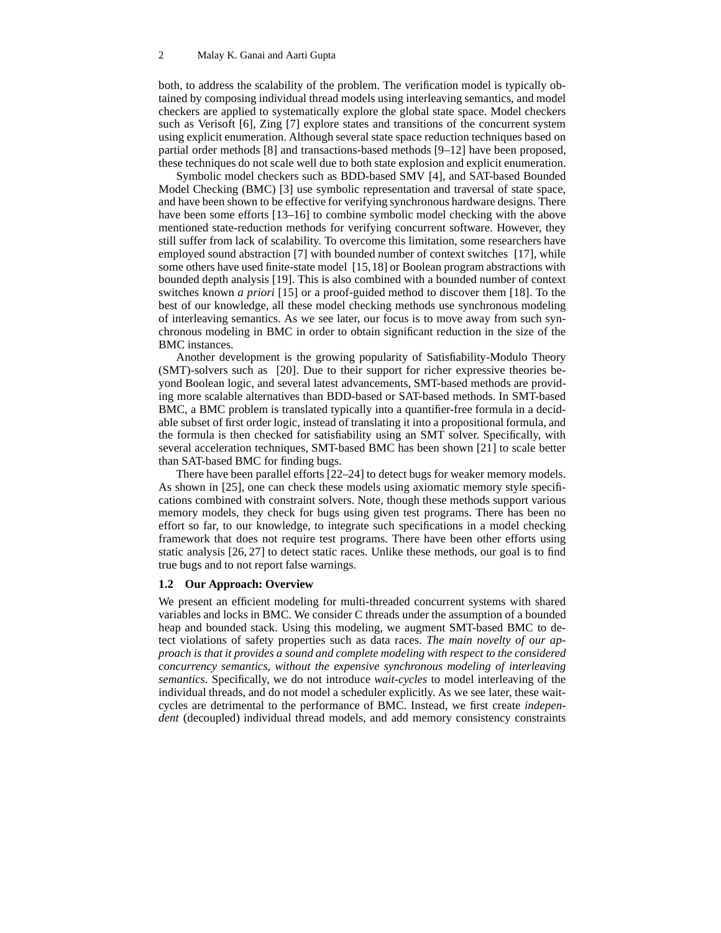both, to address the scalability of the problem. The verification model is typically obtained by composing individual thread models using interleaving semantics, and model checkers are applied to systematically explore the global state space. Model checkers such as Verisoft [6], Zing [7] explore states and transitions of the concurrent system using explicit enumeration. Although several state space reduction techniques based on partial order methods [8] and transactions-based methods [9–12] have been proposed, these techniques do not scale well due to both state explosion and explicit enumeration.

Symbolic model checkers such as BDD-based SMV [4], and SAT-based Bounded Model Checking (BMC) [3] use symbolic representation and traversal of state space, and have been shown to be effective for verifying synchronous hardware designs. There have been some efforts [13–16] to combine symbolic model checking with the above mentioned state-reduction methods for verifying concurrent software. However, they still suffer from lack of scalability. To overcome this limitation, some researchers have employed sound abstraction [7] with bounded number of context switches [17], while some others have used finite-state model [15,18] or Boolean program abstractions with bounded depth analysis [19]. This is also combined with a bounded number of context switches known *a priori* [15] or a proof-guided method to discover them [18]. To the best of our knowledge, all these model checking methods use synchronous modeling of interleaving semantics. As we see later, our focus is to move away from such synchronous modeling in BMC in order to obtain significant reduction in the size of the BMC instances.

Another development is the growing popularity of Satisfiability-Modulo Theory (SMT)-solvers such as [20]. Due to their support for richer expressive theories beyond Boolean logic, and several latest advancements, SMT-based methods are providing more scalable alternatives than BDD-based or SAT-based methods. In SMT-based BMC, a BMC problem is translated typically into a quantifier-free formula in a decidable subset of first order logic, instead of translating it into a propositional formula, and the formula is then checked for satisfiability using an SMT solver. Specifically, with several acceleration techniques, SMT-based BMC has been shown [21] to scale better than SAT-based BMC for finding bugs.

There have been parallel efforts [22–24] to detect bugs for weaker memory models. As shown in [25], one can check these models using axiomatic memory style specifications combined with constraint solvers. Note, though these methods support various memory models, they check for bugs using given test programs. There has been no effort so far, to our knowledge, to integrate such specifications in a model checking framework that does not require test programs. There have been other efforts using static analysis [26, 27] to detect static races. Unlike these methods, our goal is to find true bugs and to not report false warnings.

### **1.2 Our Approach: Overview**

We present an efficient modeling for multi-threaded concurrent systems with shared variables and locks in BMC. We consider C threads under the assumption of a bounded heap and bounded stack. Using this modeling, we augment SMT-based BMC to detect violations of safety properties such as data races. *The main novelty of our approach is that it provides a sound and complete modeling with respect to the considered concurrency semantics, without the expensive synchronous modeling of interleaving semantics*. Specifically, we do not introduce *wait-cycles* to model interleaving of the individual threads, and do not model a scheduler explicitly. As we see later, these waitcycles are detrimental to the performance of BMC. Instead, we first create *independent* (decoupled) individual thread models, and add memory consistency constraints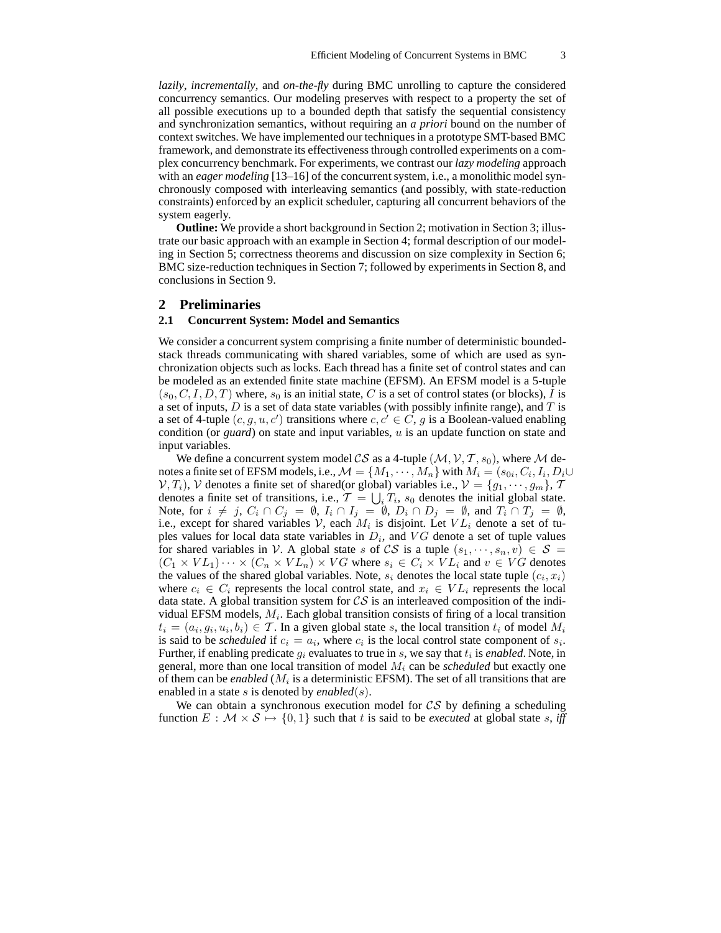*lazily*, *incrementally*, and *on-the-fly* during BMC unrolling to capture the considered concurrency semantics. Our modeling preserves with respect to a property the set of all possible executions up to a bounded depth that satisfy the sequential consistency and synchronization semantics, without requiring an *a priori* bound on the number of context switches. We have implemented our techniques in a prototype SMT-based BMC framework, and demonstrate its effectiveness through controlled experiments on a complex concurrency benchmark. For experiments, we contrast our *lazy modeling* approach with an *eager modeling* [13–16] of the concurrent system, i.e., a monolithic model synchronously composed with interleaving semantics (and possibly, with state-reduction constraints) enforced by an explicit scheduler, capturing all concurrent behaviors of the system eagerly.

**Outline:** We provide a short background in Section 2; motivation in Section 3; illustrate our basic approach with an example in Section 4; formal description of our modeling in Section 5; correctness theorems and discussion on size complexity in Section 6; BMC size-reduction techniques in Section 7; followed by experiments in Section 8, and conclusions in Section 9.

### **2 Preliminaries**

### **2.1 Concurrent System: Model and Semantics**

We consider a concurrent system comprising a finite number of deterministic boundedstack threads communicating with shared variables, some of which are used as synchronization objects such as locks. Each thread has a finite set of control states and can be modeled as an extended finite state machine (EFSM). An EFSM model is a 5-tuple  $(s_0, C, I, D, T)$  where,  $s_0$  is an initial state, C is a set of control states (or blocks), I is a set of inputs,  $D$  is a set of data state variables (with possibly infinite range), and  $T$  is a set of 4-tuple  $(c, g, u, c')$  transitions where  $c, c' \in C$ , g is a Boolean-valued enabling condition (or *guard*) on state and input variables, u is an update function on state and input variables.

We define a concurrent system model CS as a 4-tuple  $(\mathcal{M}, \mathcal{V}, \mathcal{T}, s_0)$ , where M denotes a finite set of EFSM models, i.e.,  $\mathcal{M}=\{M_1,\cdots,M_n\}$  with  $M_i=(s_{0i},C_i,I_i,D_i\cup$  $V, T_i$ , V denotes a finite set of shared(or global) variables i.e.,  $V = \{g_1, \dots, g_m\}, T$ denotes a finite set of transitions, i.e.,  $\mathcal{T} = \bigcup_i T_i$ ,  $s_0$  denotes the initial global state. Note, for  $i \neq j$ ,  $C_i \cap C_j = \emptyset$ ,  $I_i \cap I_j = \emptyset$ ,  $D_i \cap D_j = \emptyset$ , and  $T_i \cap T_j = \emptyset$ , i.e., except for shared variables V, each  $M_i$  is disjoint. Let  $VL_i$  denote a set of tuples values for local data state variables in  $D_i$ , and  $VG$  denote a set of tuple values for shared variables in V. A global state s of CS is a tuple  $(s_1, \dots, s_n, v) \in S =$  $(C_1 \times VL_1) \cdots \times (C_n \times VL_n) \times VG$  where  $s_i \in C_i \times VL_i$  and  $v \in VG$  denotes the values of the shared global variables. Note,  $s_i$  denotes the local state tuple  $(c_i, x_i)$ where  $c_i \in C_i$  represents the local control state, and  $x_i \in VL_i$  represents the local data state. A global transition system for  $CS$  is an interleaved composition of the individual EFSM models,  $M_i$ . Each global transition consists of firing of a local transition  $t_i = (a_i, g_i, u_i, b_i) \in \mathcal{T}$ . In a given global state s, the local transition  $t_i$  of model  $M_i$ is said to be *scheduled* if  $c_i = a_i$ , where  $c_i$  is the local control state component of  $s_i$ . Further, if enabling predicate  $g_i$  evaluates to true in  $s$ , we say that  $t_i$  is *enabled*. Note, in general, more than one local transition of model  $M_i$  can be *scheduled* but exactly one of them can be *enabled* ( $M_i$  is a deterministic EFSM). The set of all transitions that are enabled in a state s is denoted by *enabled*(s).

We can obtain a synchronous execution model for  $\mathcal{CS}$  by defining a scheduling function  $E : \mathcal{M} \times \mathcal{S} \mapsto \{0, 1\}$  such that t is said to be *executed* at global state s, *iff*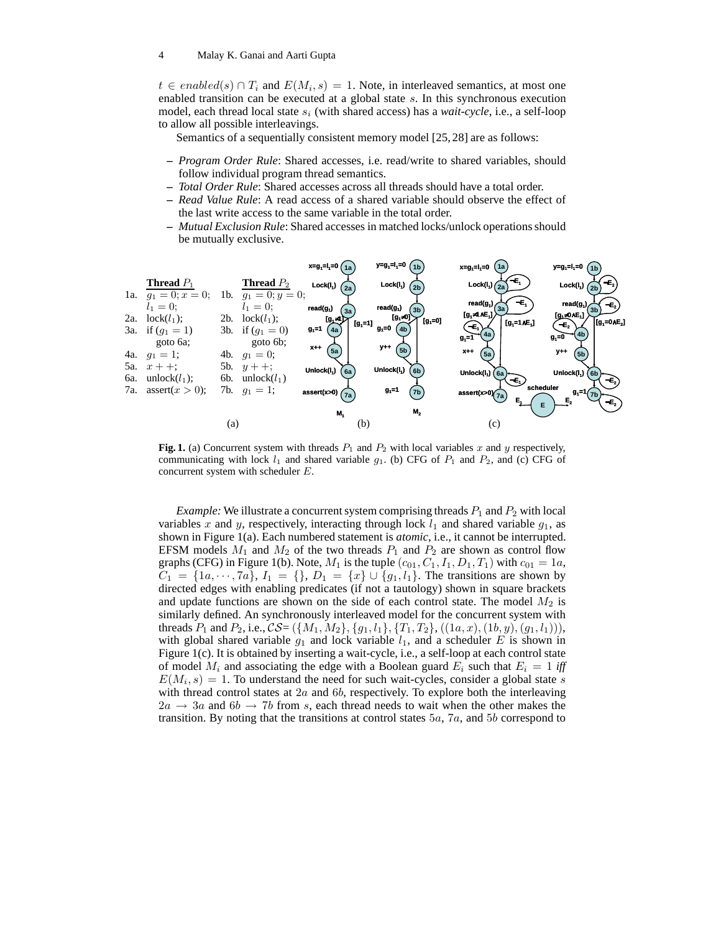$t \in enabled(s) \cap T_i$  and  $E(M_i, s) = 1$ . Note, in interleaved semantics, at most one enabled transition can be executed at a global state s. In this synchronous execution model, each thread local state s<sup>i</sup> (with shared access) has a *wait-cycle*, i.e., a self-loop to allow all possible interleavings.

Semantics of a sequentially consistent memory model [25, 28] are as follows:

- **–** *Program Order Rule*: Shared accesses, i.e. read/write to shared variables, should follow individual program thread semantics.
- **–** *Total Order Rule*: Shared accesses across all threads should have a total order.
- **–** *Read Value Rule*: A read access of a shared variable should observe the effect of the last write access to the same variable in the total order.
- **–** *Mutual Exclusion Rule*: Shared accesses in matched locks/unlock operations should be mutually exclusive.



**Fig. 1.** (a) Concurrent system with threads  $P_1$  and  $P_2$  with local variables x and y respectively, communicating with lock  $l_1$  and shared variable  $g_1$ . (b) CFG of  $P_1$  and  $P_2$ , and (c) CFG of concurrent system with scheduler E.

*Example:* We illustrate a concurrent system comprising threads  $P_1$  and  $P_2$  with local variables x and y, respectively, interacting through lock  $l_1$  and shared variable  $g_1$ , as shown in Figure 1(a). Each numbered statement is *atomic*, i.e., it cannot be interrupted. EFSM models  $M_1$  and  $M_2$  of the two threads  $P_1$  and  $P_2$  are shown as control flow graphs (CFG) in Figure 1(b). Note,  $M_1$  is the tuple  $(c_{01}, C_1, I_1, D_1, T_1)$  with  $c_{01} = 1a$ ,  $C_1 = \{1a, \dots, 7a\}, I_1 = \{\}, D_1 = \{x\} \cup \{g_1, l_1\}.$  The transitions are shown by directed edges with enabling predicates (if not a tautology) shown in square brackets and update functions are shown on the side of each control state. The model  $M_2$  is similarly defined. An synchronously interleaved model for the concurrent system with threads  $P_1$  and  $P_2$ , i.e.,  $\mathcal{CS} = (\{M_1, M_2\}, \{g_1, l_1\}, \{T_1, T_2\}, ((1a, x), (1b, y), (g_1, l_1))),$ with global shared variable  $g_1$  and lock variable  $l_1$ , and a scheduler E is shown in Figure 1(c). It is obtained by inserting a wait-cycle, i.e., a self-loop at each control state of model  $M_i$  and associating the edge with a Boolean guard  $E_i$  such that  $E_i = 1$  *iff*  $E(M_i, s) = 1$ . To understand the need for such wait-cycles, consider a global state s with thread control states at  $2a$  and  $6b$ , respectively. To explore both the interleaving  $2a \rightarrow 3a$  and  $6b \rightarrow 7b$  from s, each thread needs to wait when the other makes the transition. By noting that the transitions at control states 5a, 7a, and 5b correspond to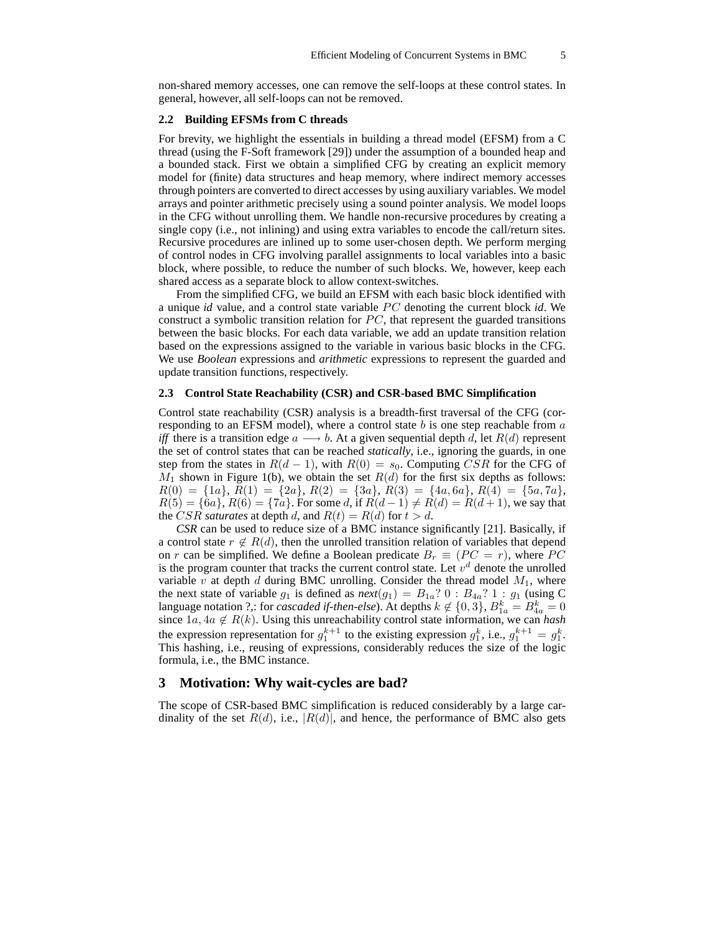non-shared memory accesses, one can remove the self-loops at these control states. In general, however, all self-loops can not be removed.

#### **2.2 Building EFSMs from C threads**

For brevity, we highlight the essentials in building a thread model (EFSM) from a C thread (using the F-Soft framework [29]) under the assumption of a bounded heap and a bounded stack. First we obtain a simplified CFG by creating an explicit memory model for (finite) data structures and heap memory, where indirect memory accesses through pointers are converted to direct accesses by using auxiliary variables. We model arrays and pointer arithmetic precisely using a sound pointer analysis. We model loops in the CFG without unrolling them. We handle non-recursive procedures by creating a single copy (i.e., not inlining) and using extra variables to encode the call/return sites. Recursive procedures are inlined up to some user-chosen depth. We perform merging of control nodes in CFG involving parallel assignments to local variables into a basic block, where possible, to reduce the number of such blocks. We, however, keep each shared access as a separate block to allow context-switches.

From the simplified CFG, we build an EFSM with each basic block identified with a unique *id* value, and a control state variable PC denoting the current block *id*. We construct a symbolic transition relation for  $PC$ , that represent the guarded transitions between the basic blocks. For each data variable, we add an update transition relation based on the expressions assigned to the variable in various basic blocks in the CFG. We use *Boolean* expressions and *arithmetic* expressions to represent the guarded and update transition functions, respectively.

## **2.3 Control State Reachability (CSR) and CSR-based BMC Simplification**

Control state reachability (CSR) analysis is a breadth-first traversal of the CFG (corresponding to an EFSM model), where a control state  $b$  is one step reachable from  $a$ *iff* there is a transition edge  $a \rightarrow b$ . At a given sequential depth d, let  $R(d)$  represent the set of control states that can be reached *statically*, i.e., ignoring the guards, in one step from the states in  $R(d-1)$ , with  $R(0) = s_0$ . Computing CSR for the CFG of  $M_1$  shown in Figure 1(b), we obtain the set  $R(d)$  for the first six depths as follows:  $R(0) = \{1a\}, R(1) = \{2a\}, R(2) = \{3a\}, R(3) = \{4a, 6a\}, R(4) = \{5a, 7a\},$  $R(5) = \{6a\}$ ,  $R(6) = \{7a\}$ . For some d, if  $R(d-1) \neq R(d) = R(d+1)$ , we say that the *CSR saturates* at depth *d*, and  $R(t) = R(d)$  for  $t > d$ .

*CSR* can be used to reduce size of a BMC instance significantly [21]. Basically, if a control state  $r \notin R(d)$ , then the unrolled transition relation of variables that depend on r can be simplified. We define a Boolean predicate  $B_r \equiv (PC = r)$ , where PC is the program counter that tracks the current control state. Let  $v<sup>d</sup>$  denote the unrolled variable v at depth d during BMC unrolling. Consider the thread model  $M_1$ , where the next state of variable  $g_1$  is defined as  $next(g_1) = B_{1a}$ ?  $0 : B_{4a}$ ?  $1 : g_1$  (using C language notation ?,: for *cascaded if-then-else*). At depths  $k \notin \{0,3\}$ ,  $B_{1a}^k = B_{4a}^k = 0$ since  $1a, 4a \notin R(k)$ . Using this unreachability control state information, we can *hash* the expression representation for  $g_1^{k+1}$  to the existing expression  $g_1^k$ , i.e.,  $g_1^{k+1} = g_1^k$ . This hashing, i.e., reusing of expressions, considerably reduces the size of the logic formula, i.e., the BMC instance.

## **3 Motivation: Why wait-cycles are bad?**

The scope of CSR-based BMC simplification is reduced considerably by a large cardinality of the set  $R(d)$ , i.e.,  $|R(d)|$ , and hence, the performance of BMC also gets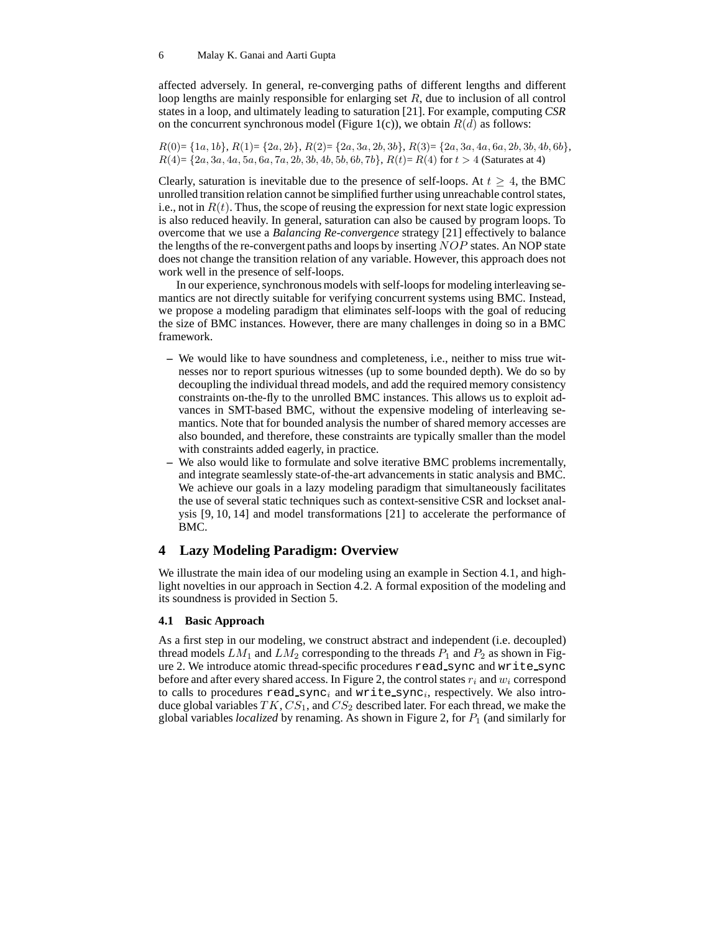affected adversely. In general, re-converging paths of different lengths and different loop lengths are mainly responsible for enlarging set  $R$ , due to inclusion of all control states in a loop, and ultimately leading to saturation [21]. For example, computing *CSR* on the concurrent synchronous model (Figure 1(c)), we obtain  $R(d)$  as follows:

 $R(0) = \{1a, 1b\}, R(1) = \{2a, 2b\}, R(2) = \{2a, 3a, 2b, 3b\}, R(3) = \{2a, 3a, 4a, 6a, 2b, 3b, 4b, 6b\},$  $R(4) = \{2a, 3a, 4a, 5a, 6a, 7a, 2b, 3b, 4b, 5b, 6b, 7b\}, R(t) = R(4)$  for  $t > 4$  (Saturates at 4)

Clearly, saturation is inevitable due to the presence of self-loops. At  $t \geq 4$ , the BMC unrolled transition relation cannot be simplified further using unreachable control states, i.e., not in  $R(t)$ . Thus, the scope of reusing the expression for next state logic expression is also reduced heavily. In general, saturation can also be caused by program loops. To overcome that we use a *Balancing Re-convergence* strategy [21] effectively to balance the lengths of the re-convergent paths and loops by inserting NOP states. An NOP state does not change the transition relation of any variable. However, this approach does not work well in the presence of self-loops.

In our experience, synchronous models with self-loops for modeling interleaving semantics are not directly suitable for verifying concurrent systems using BMC. Instead, we propose a modeling paradigm that eliminates self-loops with the goal of reducing the size of BMC instances. However, there are many challenges in doing so in a BMC framework.

- **–** We would like to have soundness and completeness, i.e., neither to miss true witnesses nor to report spurious witnesses (up to some bounded depth). We do so by decoupling the individual thread models, and add the required memory consistency constraints on-the-fly to the unrolled BMC instances. This allows us to exploit advances in SMT-based BMC, without the expensive modeling of interleaving semantics. Note that for bounded analysis the number of shared memory accesses are also bounded, and therefore, these constraints are typically smaller than the model with constraints added eagerly, in practice.
- **–** We also would like to formulate and solve iterative BMC problems incrementally, and integrate seamlessly state-of-the-art advancements in static analysis and BMC. We achieve our goals in a lazy modeling paradigm that simultaneously facilitates the use of several static techniques such as context-sensitive CSR and lockset analysis [9, 10, 14] and model transformations [21] to accelerate the performance of BMC.

## **4 Lazy Modeling Paradigm: Overview**

We illustrate the main idea of our modeling using an example in Section 4.1, and highlight novelties in our approach in Section 4.2. A formal exposition of the modeling and its soundness is provided in Section 5.

#### **4.1 Basic Approach**

As a first step in our modeling, we construct abstract and independent (i.e. decoupled) thread models  $LM_1$  and  $LM_2$  corresponding to the threads  $P_1$  and  $P_2$  as shown in Figure 2. We introduce atomic thread-specific procedures read sync and write sync before and after every shared access. In Figure 2, the control states  $r_i$  and  $w_i$  correspond to calls to procedures read\_sync<sub>i</sub> and write\_sync<sub>i</sub>, respectively. We also introduce global variables  $TK, CS_1$ , and  $CS_2$  described later. For each thread, we make the global variables *localized* by renaming. As shown in Figure 2, for  $P_1$  (and similarly for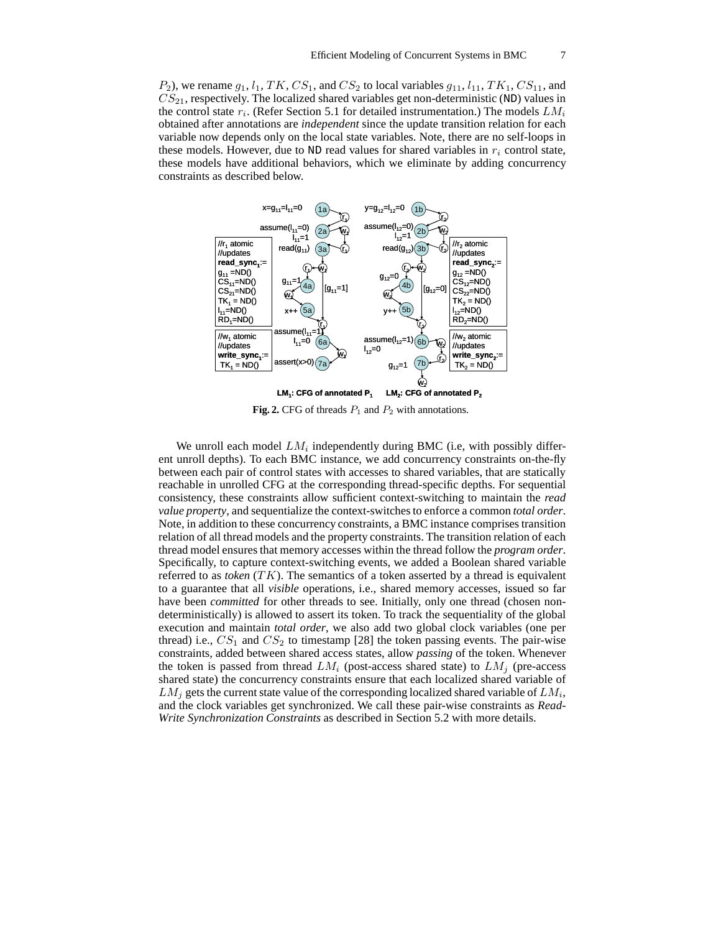$P_2$ ), we rename  $g_1$ ,  $l_1$ ,  $TK$ ,  $CS_1$ , and  $CS_2$  to local variables  $g_{11}$ ,  $l_{11}$ ,  $TK_1$ ,  $CS_{11}$ , and  $CS_{21}$ , respectively. The localized shared variables get non-deterministic (ND) values in the control state  $r_i$ . (Refer Section 5.1 for detailed instrumentation.) The models  $LM_i$ obtained after annotations are *independent* since the update transition relation for each variable now depends only on the local state variables. Note, there are no self-loops in these models. However, due to ND read values for shared variables in  $r_i$  control state, these models have additional behaviors, which we eliminate by adding concurrency constraints as described below.



**Fig. 2.** CFG of threads  $P_1$  and  $P_2$  with annotations.

We unroll each model  $LM_i$  independently during BMC (i.e, with possibly different unroll depths). To each BMC instance, we add concurrency constraints on-the-fly between each pair of control states with accesses to shared variables, that are statically reachable in unrolled CFG at the corresponding thread-specific depths. For sequential consistency, these constraints allow sufficient context-switching to maintain the *read value property*, and sequentialize the context-switches to enforce a common *total order*. Note, in addition to these concurrency constraints, a BMC instance comprises transition relation of all thread models and the property constraints. The transition relation of each thread model ensures that memory accesses within the thread follow the *program order*. Specifically, to capture context-switching events, we added a Boolean shared variable referred to as *token*  $(TK)$ . The semantics of a token asserted by a thread is equivalent to a guarantee that all *visible* operations, i.e., shared memory accesses, issued so far have been *committed* for other threads to see. Initially, only one thread (chosen nondeterministically) is allowed to assert its token. To track the sequentiality of the global execution and maintain *total order*, we also add two global clock variables (one per thread) i.e.,  $CS_1$  and  $CS_2$  to timestamp [28] the token passing events. The pair-wise constraints, added between shared access states, allow *passing* of the token. Whenever the token is passed from thread  $LM_i$  (post-access shared state) to  $LM_i$  (pre-access shared state) the concurrency constraints ensure that each localized shared variable of  $LM_j$  gets the current state value of the corresponding localized shared variable of  $LM_i$ , and the clock variables get synchronized. We call these pair-wise constraints as *Read-Write Synchronization Constraints* as described in Section 5.2 with more details.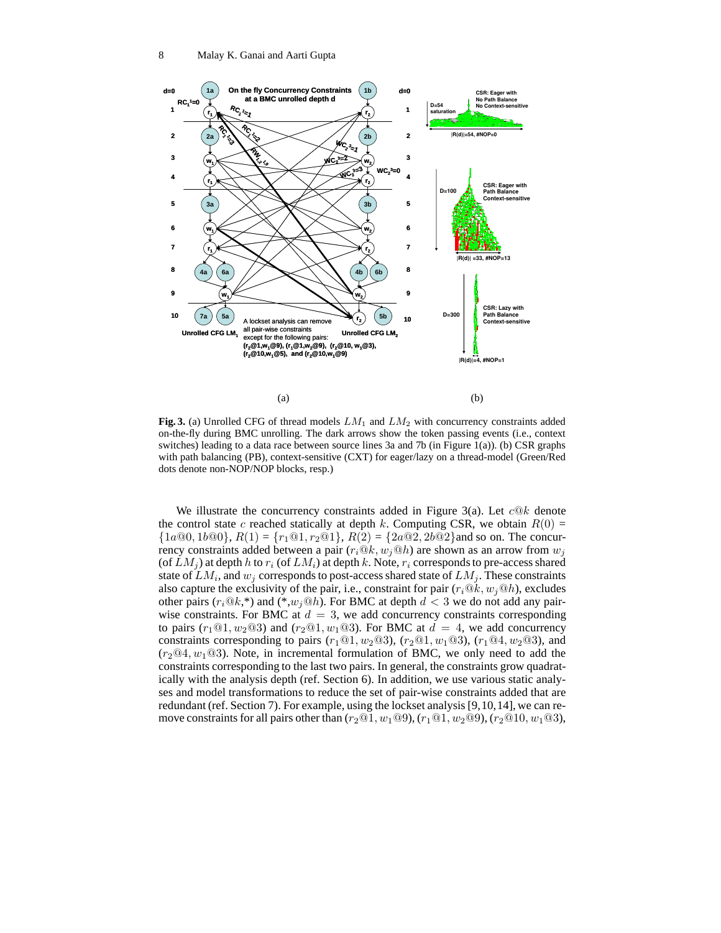

Fig. 3. (a) Unrolled CFG of thread models  $LM_1$  and  $LM_2$  with concurrency constraints added on-the-fly during BMC unrolling. The dark arrows show the token passing events (i.e., context switches) leading to a data race between source lines 3a and 7b (in Figure 1(a)). (b) CSR graphs with path balancing (PB), context-sensitive (CXT) for eager/lazy on a thread-model (Green/Red dots denote non-NOP/NOP blocks, resp.)

We illustrate the concurrency constraints added in Figure 3(a). Let  $c@k$  denote the control state c reached statically at depth k. Computing CSR, we obtain  $R(0)$  =  ${1a@0, 1b@0}, R(1) = {r_1@1, r_2@1}, R(2) = {2a@2, 2b@2}$  and so on. The concurrency constraints added between a pair  $(r_i@k, w_j@h)$  are shown as an arrow from  $w_j$ (of  $LM_j$ ) at depth h to  $r_i$  (of  $LM_i$ ) at depth k. Note,  $r_i$  corresponds to pre-access shared state of  $LM_i$ , and  $w_j$  corresponds to post-access shared state of  $LM_j$ . These constraints also capture the exclusivity of the pair, i.e., constraint for pair  $(r_i@k, w_j@h)$ , excludes other pairs ( $r_i@k,*$ ) and (\*,w<sub>j</sub>@h). For BMC at depth  $d < 3$  we do not add any pairwise constraints. For BMC at  $d = 3$ , we add concurrency constraints corresponding to pairs  $(r_1@1, w_2@3)$  and  $(r_2@1, w_1@3)$ . For BMC at  $d = 4$ , we add concurrency constraints corresponding to pairs  $(r_1@1, w_2@3)$ ,  $(r_2@1, w_1@3)$ ,  $(r_1@4, w_2@3)$ , and  $(r_2@4, w_1@3)$ . Note, in incremental formulation of BMC, we only need to add the constraints corresponding to the last two pairs. In general, the constraints grow quadratically with the analysis depth (ref. Section 6). In addition, we use various static analyses and model transformations to reduce the set of pair-wise constraints added that are redundant (ref. Section 7). For example, using the lockset analysis [9,10,14], we can remove constraints for all pairs other than  $(r_2@1, w_1@9)$ ,  $(r_1@1, w_2@9)$ ,  $(r_2@10, w_1@3)$ ,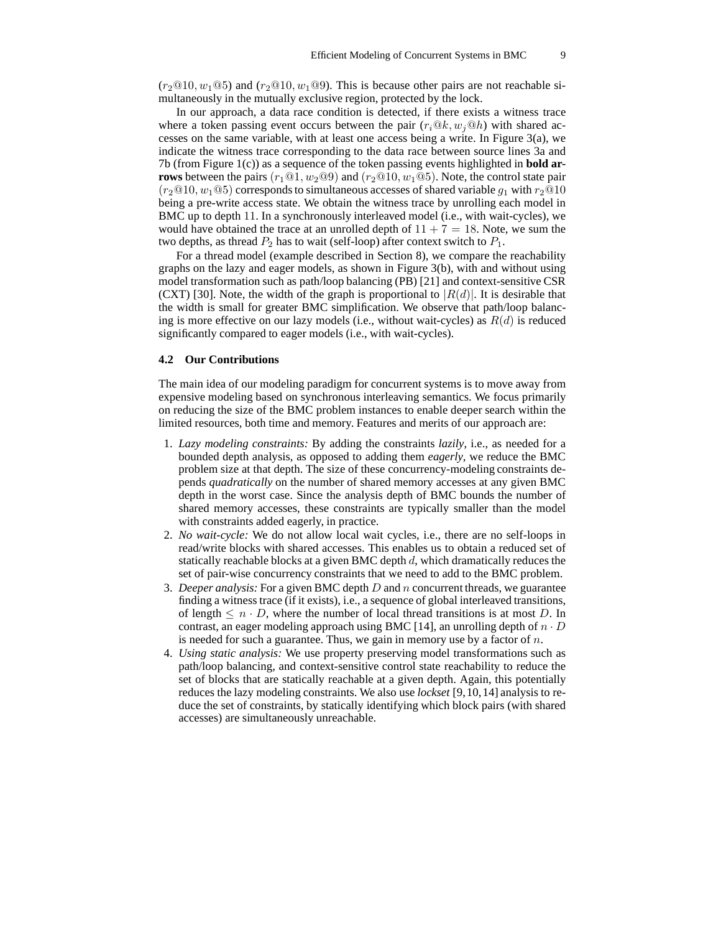$(r_2@10, w_1@5)$  and  $(r_2@10, w_1@9)$ . This is because other pairs are not reachable simultaneously in the mutually exclusive region, protected by the lock.

In our approach, a data race condition is detected, if there exists a witness trace where a token passing event occurs between the pair  $(r_i@k, w_i@h)$  with shared accesses on the same variable, with at least one access being a write. In Figure 3(a), we indicate the witness trace corresponding to the data race between source lines 3a and 7b (from Figure 1(c)) as a sequence of the token passing events highlighted in **bold arrows** between the pairs  $(r_1@1, w_2@9)$  and  $(r_2@10, w_1@5)$ . Note, the control state pair  $(r_2@10, w_1@5)$  corresponds to simultaneous accesses of shared variable  $q_1$  with  $r_2@10$ being a pre-write access state. We obtain the witness trace by unrolling each model in BMC up to depth 11. In a synchronously interleaved model (i.e., with wait-cycles), we would have obtained the trace at an unrolled depth of  $11 + 7 = 18$ . Note, we sum the two depths, as thread  $P_2$  has to wait (self-loop) after context switch to  $P_1$ .

For a thread model (example described in Section 8), we compare the reachability graphs on the lazy and eager models, as shown in Figure 3(b), with and without using model transformation such as path/loop balancing (PB) [21] and context-sensitive CSR (CXT) [30]. Note, the width of the graph is proportional to  $|R(d)|$ . It is desirable that the width is small for greater BMC simplification. We observe that path/loop balancing is more effective on our lazy models (i.e., without wait-cycles) as  $R(d)$  is reduced significantly compared to eager models (i.e., with wait-cycles).

#### **4.2 Our Contributions**

The main idea of our modeling paradigm for concurrent systems is to move away from expensive modeling based on synchronous interleaving semantics. We focus primarily on reducing the size of the BMC problem instances to enable deeper search within the limited resources, both time and memory. Features and merits of our approach are:

- 1. *Lazy modeling constraints:* By adding the constraints *lazily*, i.e., as needed for a bounded depth analysis, as opposed to adding them *eagerly*, we reduce the BMC problem size at that depth. The size of these concurrency-modeling constraints depends *quadratically* on the number of shared memory accesses at any given BMC depth in the worst case. Since the analysis depth of BMC bounds the number of shared memory accesses, these constraints are typically smaller than the model with constraints added eagerly, in practice.
- 2. *No wait-cycle:* We do not allow local wait cycles, i.e., there are no self-loops in read/write blocks with shared accesses. This enables us to obtain a reduced set of statically reachable blocks at a given BMC depth d, which dramatically reduces the set of pair-wise concurrency constraints that we need to add to the BMC problem.
- 3. *Deeper analysis:* For a given BMC depth D and n concurrent threads, we guarantee finding a witness trace (if it exists), i.e., a sequence of global interleaved transitions, of length  $\leq n \cdot D$ , where the number of local thread transitions is at most D. In contrast, an eager modeling approach using BMC [14], an unrolling depth of  $n \cdot D$ is needed for such a guarantee. Thus, we gain in memory use by a factor of  $n$ .
- 4. *Using static analysis:* We use property preserving model transformations such as path/loop balancing, and context-sensitive control state reachability to reduce the set of blocks that are statically reachable at a given depth. Again, this potentially reduces the lazy modeling constraints. We also use *lockset* [9,10,14] analysis to reduce the set of constraints, by statically identifying which block pairs (with shared accesses) are simultaneously unreachable.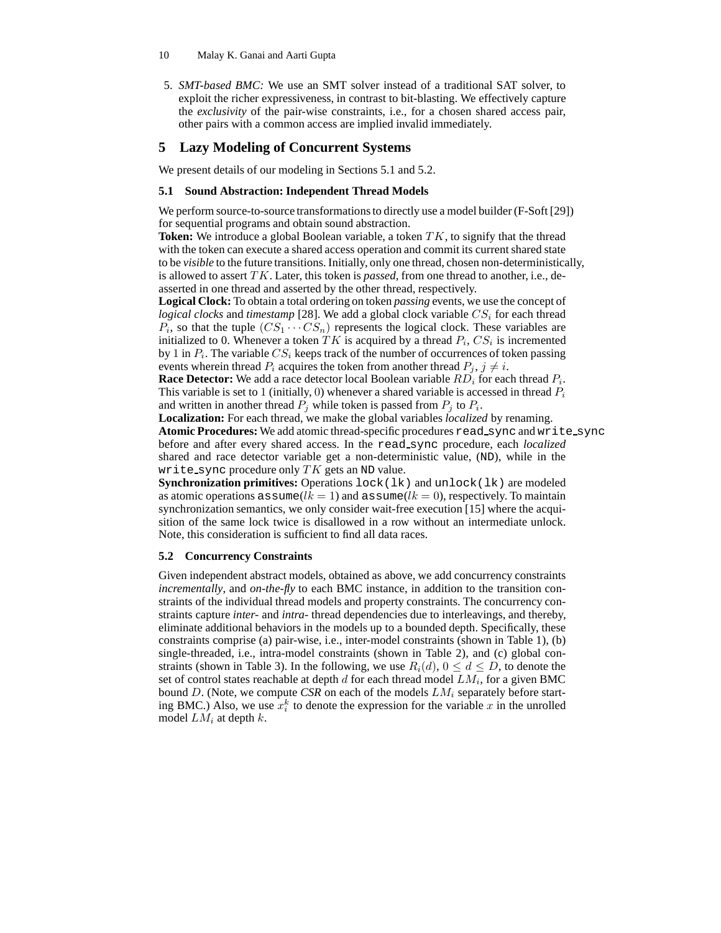5. *SMT-based BMC:* We use an SMT solver instead of a traditional SAT solver, to exploit the richer expressiveness, in contrast to bit-blasting. We effectively capture the *exclusivity* of the pair-wise constraints, i.e., for a chosen shared access pair, other pairs with a common access are implied invalid immediately.

## **5 Lazy Modeling of Concurrent Systems**

We present details of our modeling in Sections 5.1 and 5.2.

### **5.1 Sound Abstraction: Independent Thread Models**

We perform source-to-source transformations to directly use a model builder (F-Soft [29]) for sequential programs and obtain sound abstraction.

**Token:** We introduce a global Boolean variable, a token TK, to signify that the thread with the token can execute a shared access operation and commit its current shared state to be *visible* to the future transitions. Initially, only one thread, chosen non-deterministically, is allowed to assert TK. Later, this token is *passed*, from one thread to another, i.e., deasserted in one thread and asserted by the other thread, respectively.

**Logical Clock:** To obtain a total ordering on token *passing* events, we use the concept of *logical clocks* and *timestamp* [28]. We add a global clock variable  $CS<sub>i</sub>$  for each thread  $P_i$ , so that the tuple  $(CS_1 \cdots CS_n)$  represents the logical clock. These variables are initialized to 0. Whenever a token  $TK$  is acquired by a thread  $P_i$ ,  $CS_i$  is incremented by 1 in  $P_i$ . The variable  $CS_i$  keeps track of the number of occurrences of token passing events wherein thread  $P_i$  acquires the token from another thread  $P_j$ ,  $j \neq i$ .

**Race Detector:** We add a race detector local Boolean variable  $RD_i$  for each thread  $P_i$ . This variable is set to 1 (initially, 0) whenever a shared variable is accessed in thread  $P_i$ and written in another thread  $P_j$  while token is passed from  $P_j$  to  $P_i$ .

**Localization:** For each thread, we make the global variables *localized* by renaming.

**Atomic Procedures:** We add atomic thread-specific procedures read\_sync and write\_sync before and after every shared access. In the read sync procedure, each *localized* shared and race detector variable get a non-deterministic value, (ND), while in the write sync procedure only  $TK$  gets an ND value.

**Synchronization primitives:** Operations lock(lk) and unlock(lk) are modeled as atomic operations assume( $lk = 1$ ) and assume( $lk = 0$ ), respectively. To maintain synchronization semantics, we only consider wait-free execution [15] where the acquisition of the same lock twice is disallowed in a row without an intermediate unlock. Note, this consideration is sufficient to find all data races.

### **5.2 Concurrency Constraints**

Given independent abstract models, obtained as above, we add concurrency constraints *incrementally*, and *on-the-fly* to each BMC instance, in addition to the transition constraints of the individual thread models and property constraints. The concurrency constraints capture *inter-* and *intra-* thread dependencies due to interleavings, and thereby, eliminate additional behaviors in the models up to a bounded depth. Specifically, these constraints comprise (a) pair-wise, i.e., inter-model constraints (shown in Table 1), (b) single-threaded, i.e., intra-model constraints (shown in Table 2), and (c) global constraints (shown in Table 3). In the following, we use  $R_i(d)$ ,  $0 \leq d \leq D$ , to denote the set of control states reachable at depth  $d$  for each thread model  $LM_i$ , for a given BMC bound D. (Note, we compute  $CSR$  on each of the models  $LM_i$  separately before starting BMC.) Also, we use  $x_i^k$  to denote the expression for the variable x in the unrolled model  $LM_i$  at depth  $k$ .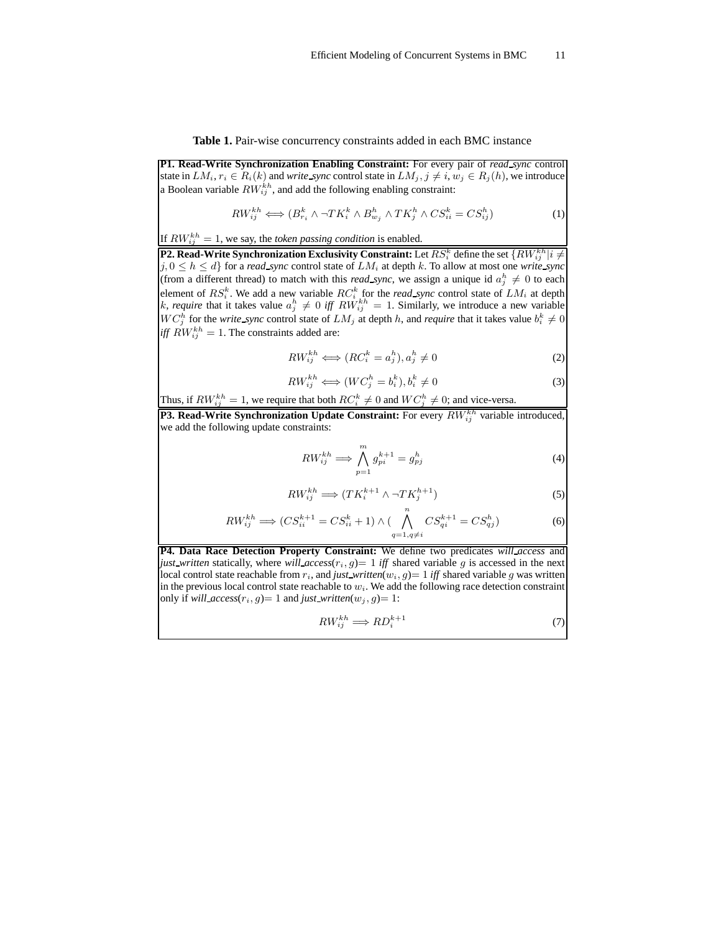**P1. Read-Write Synchronization Enabling Constraint:** For every pair of *read sync* control state in  $LM_i$ ,  $r_i \in R_i(k)$  and *write\_sync* control state in  $LM_j$ ,  $j \neq i$ ,  $w_j \in R_j(h)$ , we introduce a Boolean variable  $RW_{ij}^{kh}$ , and add the following enabling constraint:

$$
RW_{ij}^{kh} \Longleftrightarrow (B_{r_i}^k \wedge \neg TK_i^k \wedge B_{w_j}^h \wedge TK_j^h \wedge CS_{ii}^k = CS_{ij}^h)
$$
 (1)

If  $RW_{ij}^{kh} = 1$ , we say, the *token passing condition* is enabled.

**P2. Read-Write Synchronization Exclusivity Constraint:** Let  $RS_i^k$  define the set  $\{RW_{ij}^{kh} | i \neq j \}$  $j, 0 \leq h \leq d$  for a *read\_sync* control state of  $LM_i$  at depth k. To allow at most one *write\_sync* (from a different thread) to match with this *read\_sync*, we assign a unique id  $a_j^h \neq 0$  to each element of  $RS_i^k$ . We add a new variable  $RC_i^k$  for the *read\_sync* control state of  $LM_i$  at depth k, *require* that it takes value  $a_j^h \neq 0$  *iff*  $RW_{ij}^{kh} = 1$ . Similarly, we introduce a new variable  $WC_j^h$  for the *write\_sync* control state of  $LM_j$  at depth h, and *require* that it takes value  $b_i^k \neq 0$ *iff*  $RW_{ij}^{kh} = 1$ . The constraints added are:

$$
RW_{ij}^{kh} \Longleftrightarrow (RC_i^k = a_j^h), a_j^h \neq 0 \tag{2}
$$

$$
RW_{ij}^{kh} \Longleftrightarrow (WC_j^h = b_i^k), b_i^k \neq 0 \tag{3}
$$

Thus, if  $RW_{ij}^{kh} = 1$ , we require that both  $RC_i^k \neq 0$  and  $WC_j^h \neq 0$ ; and vice-versa.

**P3. Read-Write Synchronization Update Constraint:** For every  $RW_{ij}^{kh}$  variable introduced, we add the following update constraints:

$$
RW_{ij}^{kh} \Longrightarrow \bigwedge_{p=1}^{m} g_{pi}^{k+1} = g_{pj}^{h}
$$
 (4)

$$
RW_{ij}^{kh} \Longrightarrow (TK_i^{k+1} \wedge \neg TK_j^{h+1}) \tag{5}
$$

$$
RW_{ij}^{kh} \Longrightarrow (CS_{ii}^{k+1} = CS_{ii}^k + 1) \wedge \left(\bigwedge_{q=1, q\neq i}^{n} CS_{qi}^{k+1} = CS_{qj}^h\right) \tag{6}
$$

**P4. Data Race Detection Property Constraint:** We define two predicates *will access* and *just written* statically, where *will access*( $r_i$ ,  $g$ ) = 1 *iff* shared variable g is accessed in the next local control state reachable from  $r_i$ , and *just\_written*( $w_i$ ,  $g$ )= 1 *iff* shared variable g was written in the previous local control state reachable to  $w_i$ . We add the following race detection constraint only if *will\_access*( $r_i$ ,  $q$ ) = 1 and *just\_written*( $w_i$ ,  $q$ ) = 1:

$$
RW_{ij}^{kh} \Longrightarrow RD_i^{k+1} \tag{7}
$$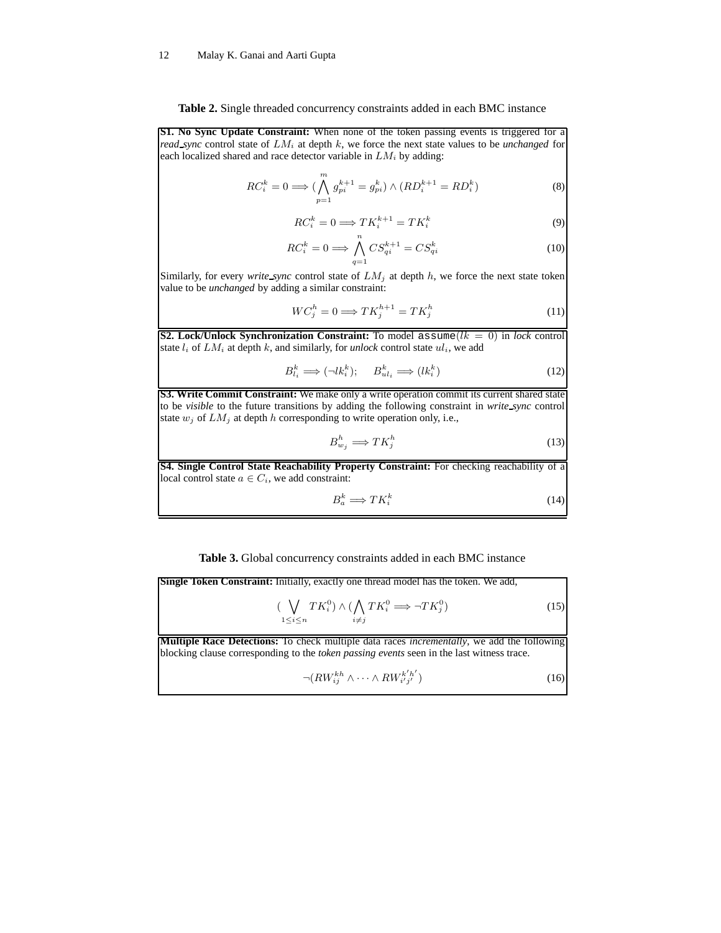### **Table 2.** Single threaded concurrency constraints added in each BMC instance

**S1. No Sync Update Constraint:** When none of the token passing events is triggered for a *read\_sync* control state of  $LM_i$  at depth k, we force the next state values to be *unchanged* for each localized shared and race detector variable in  $LM_i$  by adding:

$$
RC_i^k = 0 \Longrightarrow (\bigwedge_{p=1}^m g_{pi}^{k+1} = g_{pi}^k) \land (RD_i^{k+1} = RD_i^k)
$$
\n
$$
(8)
$$

$$
RC_i^k = 0 \Longrightarrow TK_i^{k+1} = TK_i^k \tag{9}
$$

$$
RC_i^k = 0 \Longrightarrow \bigwedge_{q=1}^n CS_{qi}^{k+1} = CS_{qi}^k \tag{10}
$$

Similarly, for every *write\_sync* control state of  $LM_j$  at depth  $h$ , we force the next state token value to be *unchanged* by adding a similar constraint:

$$
WC_j^h = 0 \Longrightarrow TK_j^{h+1} = TK_j^h \tag{11}
$$

**S2. Lock/Unlock Synchronization Constraint:** To model assume( $lk = 0$ ) in *lock* control state  $l_i$  of  $LM_i$  at depth k, and similarly, for *unlock* control state  $ul_i$ , we add

$$
B_{l_i}^k \Longrightarrow (\neg lk_i^k); \qquad B_{u l_i}^k \Longrightarrow (lk_i^k)
$$
\n<sup>(12)</sup>

**S3. Write Commit Constraint:** We make only a write operation commit its current shared state to be *visible* to the future transitions by adding the following constraint in *write sync* control state  $w_j$  of  $LM_j$  at depth h corresponding to write operation only, i.e.,

$$
B_{w_j}^h \Longrightarrow TK_j^h \tag{13}
$$

**S4. Single Control State Reachability Property Constraint:** For checking reachability of a local control state  $a \in C_i$ , we add constraint:

$$
B_a^k \Longrightarrow TK_i^k \tag{14}
$$

#### **Table 3.** Global concurrency constraints added in each BMC instance

| <b>Single Token Constraint:</b> Initially, exactly one thread model has the token. We add,                                                                                                                    |      |  |  |  |  |  |  |
|---------------------------------------------------------------------------------------------------------------------------------------------------------------------------------------------------------------|------|--|--|--|--|--|--|
| $(\bigvee T K_i^0) \wedge (\bigwedge T K_i^0 \Longrightarrow \neg T K_i^0)$<br>$1\leq i\leq n$                                                                                                                | (15) |  |  |  |  |  |  |
| <b>Multiple Race Detections:</b> To check multiple data races <i>incrementally</i> , we add the following<br>blocking clause corresponding to the <i>token passing events</i> seen in the last witness trace. |      |  |  |  |  |  |  |

$$
\neg(RW_{ij}^{kh} \wedge \dots \wedge RW_{i'j'}^{k'h'}) \tag{16}
$$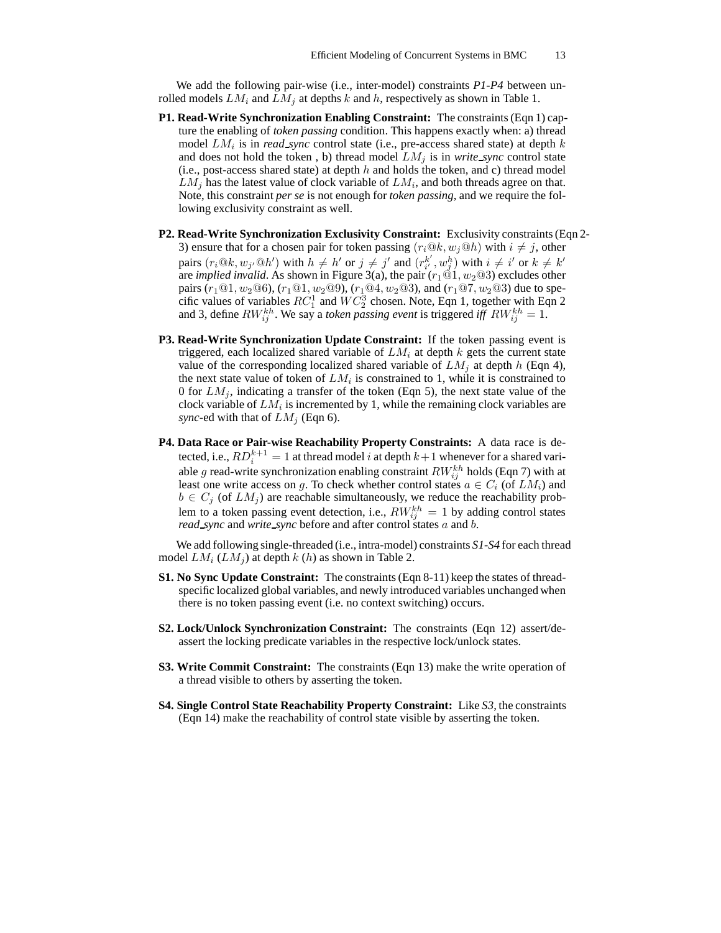We add the following pair-wise (i.e., inter-model) constraints *P1-P4* between unrolled models  $LM_i$  and  $LM_j$  at depths k and h, respectively as shown in Table 1.

- **P1. Read-Write Synchronization Enabling Constraint:** The constraints (Eqn 1) capture the enabling of *token passing* condition. This happens exactly when: a) thread model  $LM_i$  is in *read\_sync* control state (i.e., pre-access shared state) at depth  $k$ and does not hold the token, b) thread model  $LM_j$  is in *write\_sync* control state (i.e., post-access shared state) at depth  $h$  and holds the token, and c) thread model  $LM_j$  has the latest value of clock variable of  $LM_i$ , and both threads agree on that. Note, this constraint *per se* is not enough for *token passing*, and we require the following exclusivity constraint as well.
- **P2. Read-Write Synchronization Exclusivity Constraint:** Exclusivity constraints (Eqn 2- 3) ensure that for a chosen pair for token passing  $(r_i@k, w_j@h)$  with  $i \neq j$ , other pairs  $(r_i@k, w_{j'}@h')$  with  $h \neq h'$  or  $j \neq j'$  and  $(r_{i'}^{k'})$  $a_{i'}^{k'}, w_j^h$ ) with  $i \neq i'$  or  $k \neq k'$ are *implied invalid*. As shown in Figure 3(a), the pair  $(r_1@1, w_2@3)$  excludes other pairs  $(r_1@1, w_2@6), (r_1@1, w_2@9), (r_1@4, w_2@3),$  and  $(r_1@7, w_2@3)$  due to specific values of variables  $RC_1^1$  and  $WC_2^3$  chosen. Note, Eqn 1, together with Eqn 2 and 3, define  $RW_{ij}^{kh}$ . We say a *token passing event* is triggered *iff*  $RW_{ij}^{kh} = 1$ .
- **P3. Read-Write Synchronization Update Constraint:** If the token passing event is triggered, each localized shared variable of  $LM_i$  at depth k gets the current state value of the corresponding localized shared variable of  $LM_i$  at depth h (Eqn 4), the next state value of token of  $LM_i$  is constrained to 1, while it is constrained to 0 for  $LM_i$ , indicating a transfer of the token (Eqn 5), the next state value of the clock variable of  $LM_i$  is incremented by 1, while the remaining clock variables are *sync*-ed with that of  $LM_i$  (Eqn 6).
- **P4. Data Race or Pair-wise Reachability Property Constraints:** A data race is detected, i.e.,  $RD_i^{k+1} = 1$  at thread model i at depth  $k+1$  whenever for a shared variable g read-write synchronization enabling constraint  $RW_{ij}^{kh}$  holds (Eqn 7) with at least one write access on g. To check whether control states  $a \in C_i$  (of  $LM_i$ ) and  $b \in C_j$  (of  $LM_j$ ) are reachable simultaneously, we reduce the reachability problem to a token passing event detection, i.e.,  $RW_{ij}^{kh} = 1$  by adding control states *read sync* and *write sync* before and after control states a and b.

We add following single-threaded (i.e., intra-model) constraints *S1-S4* for each thread model  $LM_i$  ( $LM_j$ ) at depth k (h) as shown in Table 2.

- **S1. No Sync Update Constraint:** The constraints (Eqn 8-11) keep the states of threadspecific localized global variables, and newly introduced variables unchanged when there is no token passing event (i.e. no context switching) occurs.
- **S2. Lock/Unlock Synchronization Constraint:** The constraints (Eqn 12) assert/deassert the locking predicate variables in the respective lock/unlock states.
- **S3. Write Commit Constraint:** The constraints (Eqn 13) make the write operation of a thread visible to others by asserting the token.
- **S4. Single Control State Reachability Property Constraint:** Like *S3*, the constraints (Eqn 14) make the reachability of control state visible by asserting the token.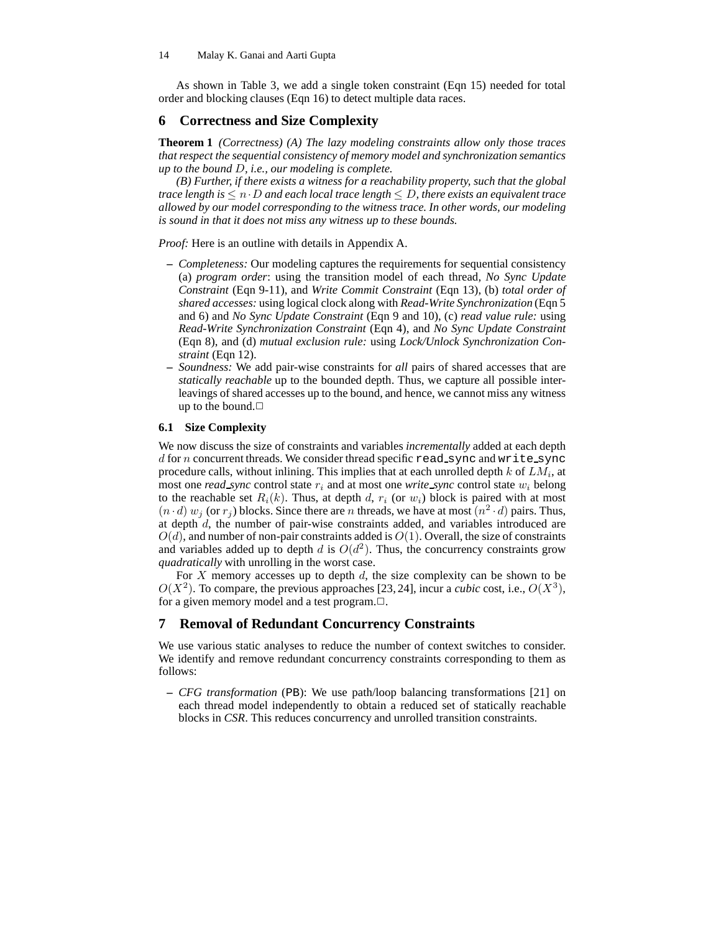As shown in Table 3, we add a single token constraint (Eqn 15) needed for total order and blocking clauses (Eqn 16) to detect multiple data races.

## **6 Correctness and Size Complexity**

**Theorem 1** *(Correctness) (A) The lazy modeling constraints allow only those traces that respect the sequential consistency of memory model and synchronization semantics up to the bound* D*, i.e., our modeling is complete.*

*(B) Further, if there exists a witness for a reachability property, such that the global trace length is*  $\leq n \cdot D$  *and each local trace length*  $\leq D$ *, there exists an equivalent trace allowed by our model corresponding to the witness trace. In other words, our modeling is sound in that it does not miss any witness up to these bounds.*

*Proof:* Here is an outline with details in Appendix A.

- **–** *Completeness:* Our modeling captures the requirements for sequential consistency (a) *program order*: using the transition model of each thread, *No Sync Update Constraint* (Eqn 9-11), and *Write Commit Constraint* (Eqn 13), (b) *total order of shared accesses:* using logical clock along with *Read-Write Synchronization* (Eqn 5 and 6) and *No Sync Update Constraint* (Eqn 9 and 10), (c) *read value rule:* using *Read-Write Synchronization Constraint* (Eqn 4), and *No Sync Update Constraint* (Eqn 8), and (d) *mutual exclusion rule:* using *Lock/Unlock Synchronization Constraint* (Eqn 12).
- **–** *Soundness:* We add pair-wise constraints for *all* pairs of shared accesses that are *statically reachable* up to the bounded depth. Thus, we capture all possible interleavings of shared accesses up to the bound, and hence, we cannot miss any witness up to the bound.

### **6.1 Size Complexity**

We now discuss the size of constraints and variables *incrementally* added at each depth  $d$  for  $n$  concurrent threads. We consider thread specific read sync and write sync procedure calls, without inlining. This implies that at each unrolled depth  $k$  of  $LM_i$ , at most one *read\_sync* control state  $r_i$  and at most one *write\_sync* control state  $w_i$  belong to the reachable set  $R_i(k)$ . Thus, at depth d,  $r_i$  (or  $w_i$ ) block is paired with at most  $(n \cdot d)$   $w_j$  (or  $r_j$ ) blocks. Since there are n threads, we have at most  $(n^2 \cdot d)$  pairs. Thus, at depth d, the number of pair-wise constraints added, and variables introduced are  $O(d)$ , and number of non-pair constraints added is  $O(1)$ . Overall, the size of constraints and variables added up to depth d is  $O(d^2)$ . Thus, the concurrency constraints grow *quadratically* with unrolling in the worst case.

For X memory accesses up to depth  $d$ , the size complexity can be shown to be  $O(X^2)$ . To compare, the previous approaches [23, 24], incur a *cubic* cost, i.e.,  $O(X^3)$ , for a given memory model and a test program.□.

## **7 Removal of Redundant Concurrency Constraints**

We use various static analyses to reduce the number of context switches to consider. We identify and remove redundant concurrency constraints corresponding to them as follows:

**–** *CFG transformation* (PB): We use path/loop balancing transformations [21] on each thread model independently to obtain a reduced set of statically reachable blocks in *CSR*. This reduces concurrency and unrolled transition constraints.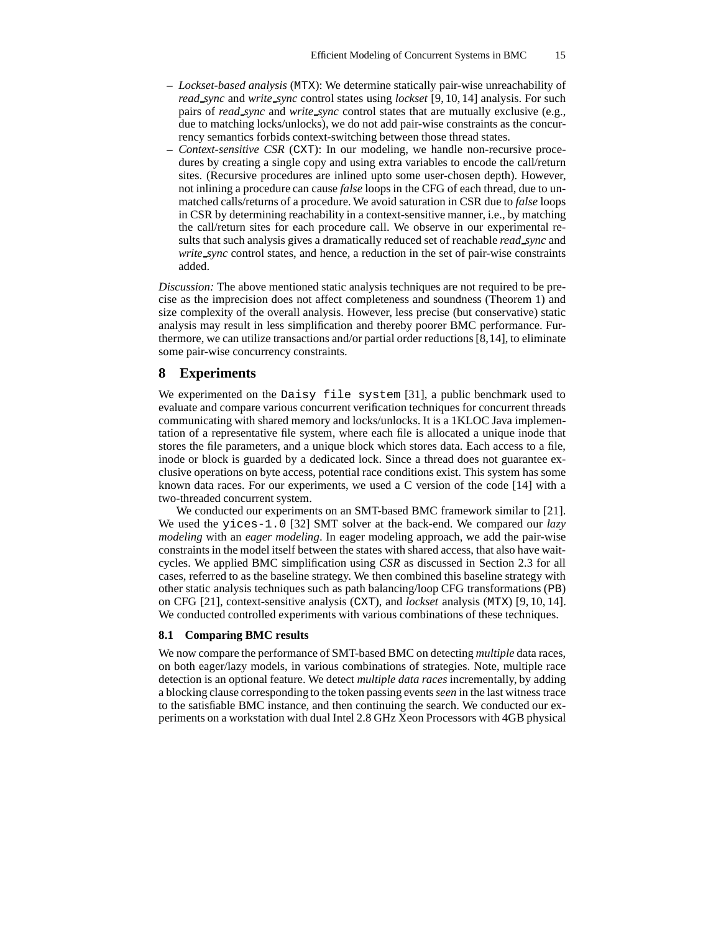- **–** *Lockset-based analysis* (MTX): We determine statically pair-wise unreachability of *read sync* and *write sync* control states using *lockset* [9, 10, 14] analysis. For such pairs of *read sync* and *write sync* control states that are mutually exclusive (e.g., due to matching locks/unlocks), we do not add pair-wise constraints as the concurrency semantics forbids context-switching between those thread states.
- **–** *Context-sensitive CSR* (CXT): In our modeling, we handle non-recursive procedures by creating a single copy and using extra variables to encode the call/return sites. (Recursive procedures are inlined upto some user-chosen depth). However, not inlining a procedure can cause *false* loops in the CFG of each thread, due to unmatched calls/returns of a procedure. We avoid saturation in CSR due to *false* loops in CSR by determining reachability in a context-sensitive manner, i.e., by matching the call/return sites for each procedure call. We observe in our experimental results that such analysis gives a dramatically reduced set of reachable *read sync* and *write sync* control states, and hence, a reduction in the set of pair-wise constraints added.

*Discussion:* The above mentioned static analysis techniques are not required to be precise as the imprecision does not affect completeness and soundness (Theorem 1) and size complexity of the overall analysis. However, less precise (but conservative) static analysis may result in less simplification and thereby poorer BMC performance. Furthermore, we can utilize transactions and/or partial order reductions [8,14], to eliminate some pair-wise concurrency constraints.

### **8 Experiments**

We experimented on the Daisy file system [31], a public benchmark used to evaluate and compare various concurrent verification techniques for concurrent threads communicating with shared memory and locks/unlocks. It is a 1KLOC Java implementation of a representative file system, where each file is allocated a unique inode that stores the file parameters, and a unique block which stores data. Each access to a file, inode or block is guarded by a dedicated lock. Since a thread does not guarantee exclusive operations on byte access, potential race conditions exist. This system has some known data races. For our experiments, we used a C version of the code [14] with a two-threaded concurrent system.

We conducted our experiments on an SMT-based BMC framework similar to [21]. We used the yices-1.0 [32] SMT solver at the back-end. We compared our *lazy modeling* with an *eager modeling*. In eager modeling approach, we add the pair-wise constraints in the model itself between the states with shared access, that also have waitcycles. We applied BMC simplification using *CSR* as discussed in Section 2.3 for all cases, referred to as the baseline strategy. We then combined this baseline strategy with other static analysis techniques such as path balancing/loop CFG transformations (PB) on CFG [21], context-sensitive analysis (CXT), and *lockset* analysis (MTX) [9, 10, 14]. We conducted controlled experiments with various combinations of these techniques.

### **8.1 Comparing BMC results**

We now compare the performance of SMT-based BMC on detecting *multiple* data races, on both eager/lazy models, in various combinations of strategies. Note, multiple race detection is an optional feature. We detect *multiple data races* incrementally, by adding a blocking clause corresponding to the token passing events*seen* in the last witness trace to the satisfiable BMC instance, and then continuing the search. We conducted our experiments on a workstation with dual Intel 2.8 GHz Xeon Processors with 4GB physical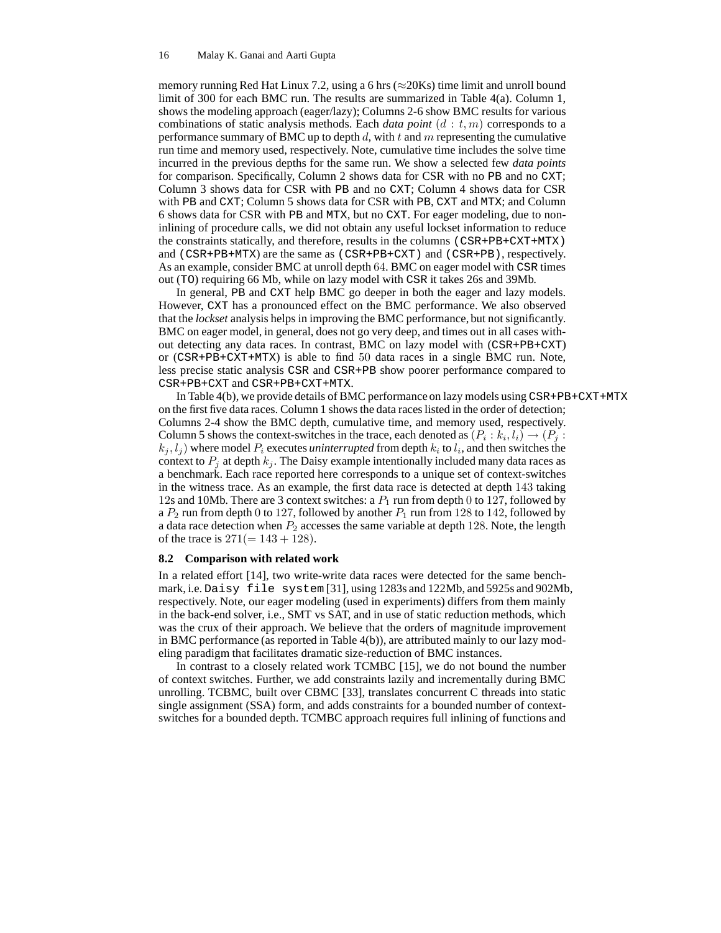memory running Red Hat Linux 7.2, using a 6 hrs ( $\approx$ 20Ks) time limit and unroll bound limit of 300 for each BMC run. The results are summarized in Table 4(a). Column 1, shows the modeling approach (eager/lazy); Columns 2-6 show BMC results for various combinations of static analysis methods. Each *data point* (d : t, m) corresponds to a performance summary of BMC up to depth  $d$ , with  $t$  and  $m$  representing the cumulative run time and memory used, respectively. Note, cumulative time includes the solve time incurred in the previous depths for the same run. We show a selected few *data points* for comparison. Specifically, Column 2 shows data for CSR with no PB and no CXT; Column 3 shows data for CSR with PB and no CXT; Column 4 shows data for CSR with PB and CXT; Column 5 shows data for CSR with PB, CXT and MTX; and Column 6 shows data for CSR with PB and MTX, but no CXT. For eager modeling, due to noninlining of procedure calls, we did not obtain any useful lockset information to reduce the constraints statically, and therefore, results in the columns (CSR+PB+CXT+MTX) and (CSR+PB+MTX) are the same as (CSR+PB+CXT) and (CSR+PB), respectively. As an example, consider BMC at unroll depth 64. BMC on eager model with CSR times out (TO) requiring 66 Mb, while on lazy model with CSR it takes 26s and 39Mb.

In general, PB and CXT help BMC go deeper in both the eager and lazy models. However, CXT has a pronounced effect on the BMC performance. We also observed that the *lockset* analysis helps in improving the BMC performance, but not significantly. BMC on eager model, in general, does not go very deep, and times out in all cases without detecting any data races. In contrast, BMC on lazy model with (CSR+PB+CXT) or (CSR+PB+CXT+MTX) is able to find 50 data races in a single BMC run. Note, less precise static analysis CSR and CSR+PB show poorer performance compared to CSR+PB+CXT and CSR+PB+CXT+MTX.

In Table  $4(b)$ , we provide details of BMC performance on lazy models using  $CSR+PB+CXT+MTX$ on the first five data races. Column 1 shows the data races listed in the order of detection; Columns 2-4 show the BMC depth, cumulative time, and memory used, respectively. Column 5 shows the context-switches in the trace, each denoted as  $(P_i : k_i, l_i) \rightarrow (P_j :$  $(k_j, l_j)$  where model  $P_i$  executes *uninterrupted* from depth  $k_i$  to  $l_i$ , and then switches the context to  $P_i$  at depth  $k_i$ . The Daisy example intentionally included many data races as a benchmark. Each race reported here corresponds to a unique set of context-switches in the witness trace. As an example, the first data race is detected at depth 143 taking 12s and 10Mb. There are 3 context switches: a  $P_1$  run from depth 0 to 127, followed by a  $P_2$  run from depth 0 to 127, followed by another  $P_1$  run from 128 to 142, followed by a data race detection when  $P_2$  accesses the same variable at depth 128. Note, the length of the trace is  $271(= 143 + 128)$ .

### **8.2 Comparison with related work**

In a related effort [14], two write-write data races were detected for the same benchmark, i.e. Daisy file system [31], using 1283s and 122Mb, and 5925s and 902Mb, respectively. Note, our eager modeling (used in experiments) differs from them mainly in the back-end solver, i.e., SMT vs SAT, and in use of static reduction methods, which was the crux of their approach. We believe that the orders of magnitude improvement in BMC performance (as reported in Table 4(b)), are attributed mainly to our lazy modeling paradigm that facilitates dramatic size-reduction of BMC instances.

In contrast to a closely related work TCMBC [15], we do not bound the number of context switches. Further, we add constraints lazily and incrementally during BMC unrolling. TCBMC, built over CBMC [33], translates concurrent C threads into static single assignment (SSA) form, and adds constraints for a bounded number of contextswitches for a bounded depth. TCMBC approach requires full inlining of functions and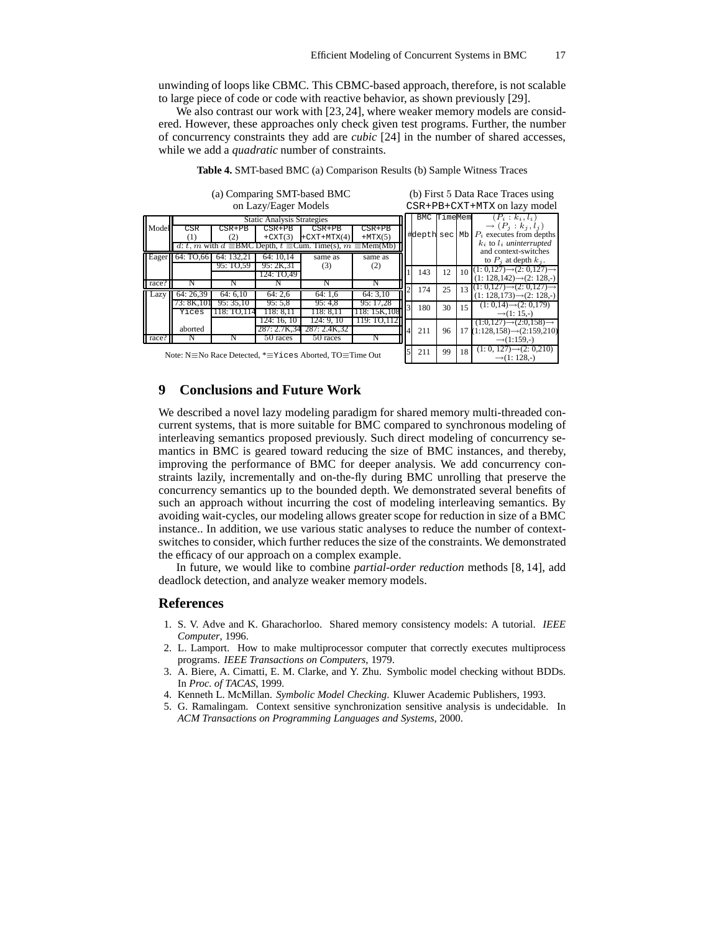unwinding of loops like CBMC. This CBMC-based approach, therefore, is not scalable to large piece of code or code with reactive behavior, as shown previously [29].

We also contrast our work with [23, 24], where weaker memory models are considered. However, these approaches only check given test programs. Further, the number of concurrency constraints they add are *cubic* [24] in the number of shared accesses, while we add a *quadratic* number of constraints.

|                                                                                   | (a) Comparing SMT-based BMC                                                    |                          |                             |                               |                              | (b) First 5 Data Race Traces using |            |         |                                                                  |                                                                                                         |
|-----------------------------------------------------------------------------------|--------------------------------------------------------------------------------|--------------------------|-----------------------------|-------------------------------|------------------------------|------------------------------------|------------|---------|------------------------------------------------------------------|---------------------------------------------------------------------------------------------------------|
| on Lazy/Eager Models                                                              |                                                                                |                          |                             |                               | CSR+PB+CXT+MTX on lazy model |                                    |            |         |                                                                  |                                                                                                         |
|                                                                                   | <b>Static Analysis Strategies</b>                                              |                          |                             |                               |                              |                                    | <b>BMC</b> | TimeMem |                                                                  | $(P_i:k_i,l_i)$                                                                                         |
| Model                                                                             | CSR<br>(1)                                                                     | $CSR+PB$<br>(2)          | $CSR+PB$<br>$+{\rm CXT}(3)$ | $CSR+PB$<br>$+$ CXT+MTX $(4)$ | $CSR+PB$<br>$+MTX(5)$        |                                    | #depth sec |         |                                                                  | $\rightarrow (P_i:k_i,l_i)$<br>Mb $P_i$ executes from depths                                            |
|                                                                                   | d: t, m with $d \equiv$ BMC Depth, $t \equiv$ Cum. Time(s), $m \equiv$ Mem(Mb) |                          |                             |                               |                              |                                    |            |         |                                                                  | $k_i$ to $l_i$ uninterrupted<br>and context-switches                                                    |
| <b>Eager</b>                                                                      | 64: TO.66                                                                      | 64: 132.21<br>95: TO.59  | 64: 10.14<br>95:2K,31       | same as                       | same as                      |                                    |            |         |                                                                  | to $P_i$ at depth $k_i$ .                                                                               |
|                                                                                   |                                                                                |                          | 124: TO.49                  | (3)                           | (2)                          |                                    | 143        | 12      |                                                                  | $10$ $(1: \overline{0,127) \rightarrow (2:0,127) \rightarrow}$<br>$(1: 128.142) \rightarrow (2: 128.4)$ |
| $rac{1}{2}$ race?                                                                 | N                                                                              | N                        |                             | N                             | N                            |                                    | 174        | 25      |                                                                  | 13(1:0,127)                                                                                             |
| Lazy                                                                              | 64: 26.39                                                                      | 64:6.10                  | 64:2.6                      | 64:1.6                        | 64:3.10                      |                                    |            |         |                                                                  | $(1: 128, 173) \rightarrow (2: 128, -)$                                                                 |
|                                                                                   | 73: 8K.101<br>Yices                                                            | 95: 35.10<br>118: TO.114 | 95:5.8<br>118: 8.11         | 95:4.8<br>118: 8.11           | 95: 17.28<br>118: 15K.108    |                                    | 180        | 30      | 15                                                               | $(1: 0.14) \rightarrow (2: 0.179)$<br>$\rightarrow$ (1: 15.-)                                           |
|                                                                                   | aborted                                                                        |                          | 124:16.10<br>287: 2.7K.3    | 124: 9. 10<br>287: 2.4K.32    | 119: TO.112                  |                                    | 211        | 96      |                                                                  | $(1:0,127) \rightarrow (2:0,158) \rightarrow$<br>$17(1:128,158) \rightarrow (2:159,210)$                |
| race?                                                                             | N                                                                              | N                        | 50 races                    | 50 races                      | Ν                            |                                    |            |         |                                                                  | $\rightarrow$ (1:159,-)                                                                                 |
| Note: $N \equiv No$ Race Detected, * $\equiv$ Yices Aborted, TO $\equiv$ Time Out |                                                                                |                          |                             |                               |                              | 211                                | 99         | 18      | $(1: 0, 127) \rightarrow (2: 0.210)$<br>$\rightarrow$ (1: 128,-) |                                                                                                         |

**Table 4.** SMT-based BMC (a) Comparison Results (b) Sample Witness Traces

## **9 Conclusions and Future Work**

We described a novel lazy modeling paradigm for shared memory multi-threaded concurrent systems, that is more suitable for BMC compared to synchronous modeling of interleaving semantics proposed previously. Such direct modeling of concurrency semantics in BMC is geared toward reducing the size of BMC instances, and thereby, improving the performance of BMC for deeper analysis. We add concurrency constraints lazily, incrementally and on-the-fly during BMC unrolling that preserve the concurrency semantics up to the bounded depth. We demonstrated several benefits of such an approach without incurring the cost of modeling interleaving semantics. By avoiding wait-cycles, our modeling allows greater scope for reduction in size of a BMC instance.. In addition, we use various static analyses to reduce the number of contextswitches to consider, which further reduces the size of the constraints. We demonstrated the efficacy of our approach on a complex example.

In future, we would like to combine *partial-order reduction* methods [8, 14], add deadlock detection, and analyze weaker memory models.

### **References**

- 1. S. V. Adve and K. Gharachorloo. Shared memory consistency models: A tutorial. *IEEE Computer*, 1996.
- 2. L. Lamport. How to make multiprocessor computer that correctly executes multiprocess programs. *IEEE Transactions on Computers*, 1979.
- 3. A. Biere, A. Cimatti, E. M. Clarke, and Y. Zhu. Symbolic model checking without BDDs. In *Proc. of TACAS*, 1999.
- 4. Kenneth L. McMillan. *Symbolic Model Checking*. Kluwer Academic Publishers, 1993.
- 5. G. Ramalingam. Context sensitive synchronization sensitive analysis is undecidable. In *ACM Transactions on Programming Languages and Systems*, 2000.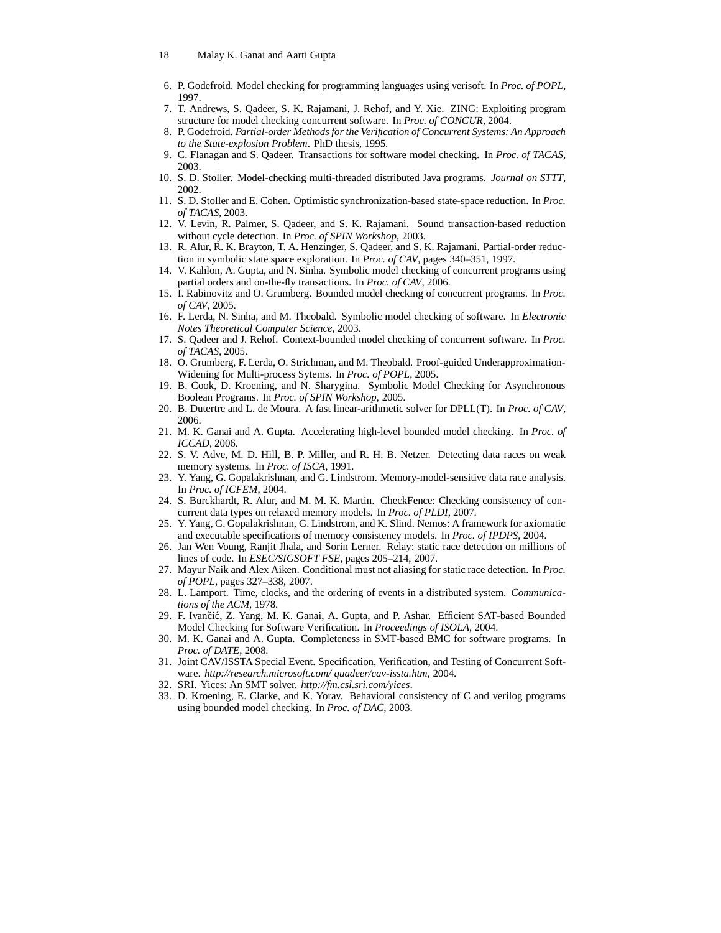- 6. P. Godefroid. Model checking for programming languages using verisoft. In *Proc. of POPL*, 1997.
- 7. T. Andrews, S. Qadeer, S. K. Rajamani, J. Rehof, and Y. Xie. ZING: Exploiting program structure for model checking concurrent software. In *Proc. of CONCUR*, 2004.
- 8. P. Godefroid. *Partial-order Methods for the Verification of Concurrent Systems: An Approach to the State-explosion Problem*. PhD thesis, 1995.
- 9. C. Flanagan and S. Qadeer. Transactions for software model checking. In *Proc. of TACAS*, 2003.
- 10. S. D. Stoller. Model-checking multi-threaded distributed Java programs. *Journal on STTT*, 2002.
- 11. S. D. Stoller and E. Cohen. Optimistic synchronization-based state-space reduction. In *Proc. of TACAS*, 2003.
- 12. V. Levin, R. Palmer, S. Qadeer, and S. K. Rajamani. Sound transaction-based reduction without cycle detection. In *Proc. of SPIN Workshop*, 2003.
- 13. R. Alur, R. K. Brayton, T. A. Henzinger, S. Qadeer, and S. K. Rajamani. Partial-order reduction in symbolic state space exploration. In *Proc. of CAV*, pages 340–351, 1997.
- 14. V. Kahlon, A. Gupta, and N. Sinha. Symbolic model checking of concurrent programs using partial orders and on-the-fly transactions. In *Proc. of CAV*, 2006.
- 15. I. Rabinovitz and O. Grumberg. Bounded model checking of concurrent programs. In *Proc. of CAV*, 2005.
- 16. F. Lerda, N. Sinha, and M. Theobald. Symbolic model checking of software. In *Electronic Notes Theoretical Computer Science*, 2003.
- 17. S. Qadeer and J. Rehof. Context-bounded model checking of concurrent software. In *Proc. of TACAS*, 2005.
- 18. O. Grumberg, F. Lerda, O. Strichman, and M. Theobald. Proof-guided Underapproximation-Widening for Multi-process Sytems. In *Proc. of POPL*, 2005.
- 19. B. Cook, D. Kroening, and N. Sharygina. Symbolic Model Checking for Asynchronous Boolean Programs. In *Proc. of SPIN Workshop*, 2005.
- 20. B. Dutertre and L. de Moura. A fast linear-arithmetic solver for DPLL(T). In *Proc. of CAV*, 2006.
- 21. M. K. Ganai and A. Gupta. Accelerating high-level bounded model checking. In *Proc. of ICCAD*, 2006.
- 22. S. V. Adve, M. D. Hill, B. P. Miller, and R. H. B. Netzer. Detecting data races on weak memory systems. In *Proc. of ISCA*, 1991.
- 23. Y. Yang, G. Gopalakrishnan, and G. Lindstrom. Memory-model-sensitive data race analysis. In *Proc. of ICFEM*, 2004.
- 24. S. Burckhardt, R. Alur, and M. M. K. Martin. CheckFence: Checking consistency of concurrent data types on relaxed memory models. In *Proc. of PLDI*, 2007.
- 25. Y. Yang, G. Gopalakrishnan, G. Lindstrom, and K. Slind. Nemos: A framework for axiomatic and executable specifications of memory consistency models. In *Proc. of IPDPS*, 2004.
- 26. Jan Wen Voung, Ranjit Jhala, and Sorin Lerner. Relay: static race detection on millions of lines of code. In *ESEC/SIGSOFT FSE*, pages 205–214, 2007.
- 27. Mayur Naik and Alex Aiken. Conditional must not aliasing for static race detection. In *Proc. of POPL*, pages 327–338, 2007.
- 28. L. Lamport. Time, clocks, and the ordering of events in a distributed system. *Communications of the ACM*, 1978.
- 29. F. Ivančić, Z. Yang, M. K. Ganai, A. Gupta, and P. Ashar. Efficient SAT-based Bounded Model Checking for Software Verification. In *Proceedings of ISOLA*, 2004.
- 30. M. K. Ganai and A. Gupta. Completeness in SMT-based BMC for software programs. In *Proc. of DATE*, 2008.
- 31. Joint CAV/ISSTA Special Event. Specification, Verification, and Testing of Concurrent Software. *http://research.microsoft.com/ quadeer/cav-issta.htm*, 2004.
- 32. SRI. Yices: An SMT solver. *http://fm.csl.sri.com/yices*.
- 33. D. Kroening, E. Clarke, and K. Yorav. Behavioral consistency of C and verilog programs using bounded model checking. In *Proc. of DAC*, 2003.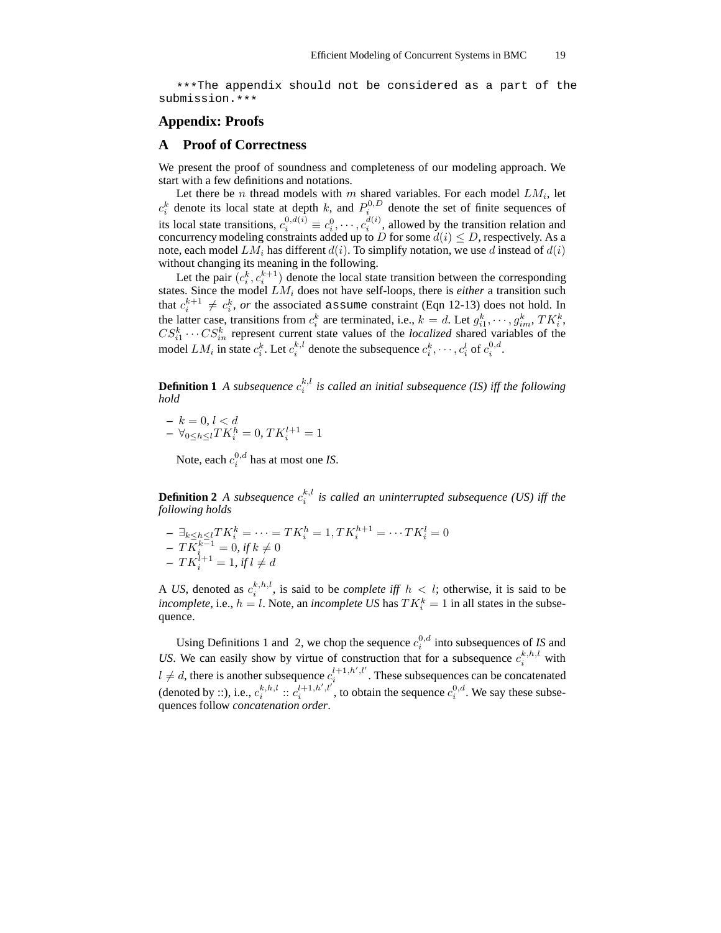\*\*\*The appendix should not be considered as a part of the submission.\*\*\*

## **Appendix: Proofs**

## **A Proof of Correctness**

We present the proof of soundness and completeness of our modeling approach. We start with a few definitions and notations.

Let there be *n* thread models with *m* shared variables. For each model  $LM_i$ , let  $c_i^k$  denote its local state at depth k, and  $P_i^{0,D}$  denote the set of finite sequences of its local state transitions,  $c_i^{0,d(i)} \equiv c_i^0, \cdots, c_i^{d(i)}$ , allowed by the transition relation and concurrency modeling constraints added up to D for some  $d(i) \leq D$ , respectively. As a note, each model  $LM_i$  has different  $d(i)$ . To simplify notation, we use d instead of  $d(i)$ without changing its meaning in the following.

Let the pair  $(c_i^k, c_i^{k+1})$  denote the local state transition between the corresponding states. Since the model  $LM_i$  does not have self-loops, there is *either* a transition such that  $c_i^{k+1} \neq c_i^k$ , *or* the associated assume constraint (Eqn 12-13) does not hold. In the latter case, transitions from  $c_i^k$  are terminated, i.e.,  $k = d$ . Let  $g_{i1}^k, \dots, g_{im}^k, TK_i^k$ ,  $CS_{i1}^k \cdots CS_{in}^k$  represent current state values of the *localized* shared variables of the model  $LM_i$  in state  $c_i^k$ . Let  $c_i^{k,l}$  denote the subsequence  $c_i^k, \dots, c_i^l$  of  $c_i^{0,d}$ .

**Definition 1** A subsequence  $c_i^{k,l}$  is called an initial subsequence (IS) iff the following *hold*

 $- k = 0, l < d$  $- \forall_{0 \leq h \leq l} T K_i^h = 0, T K_i^{l+1} = 1$ 

Note, each  $c_i^{0,d}$  has at most one *IS*.

**Definition 2** *A subsequence*  $c_i^{k,l}$  is called an uninterrupted subsequence (US) iff the *following holds*

 $- \exists_{k \leq h} \leq l T K_i^k = \cdots = T K_i^h = 1, T K_i^{h+1} = \cdots T K_i^l = 0$  $-T\bar{K}_{i}^{k-1} = 0$ , if  $k \neq 0$  $-TK_i^{l+1} = 1, if l \neq d$ 

A *US*, denoted as  $c_i^{k,h,l}$ , is said to be *complete iff*  $h < l$ ; otherwise, it is said to be *incomplete*, i.e.,  $h = l$ . Note, an *incomplete US* has  $TK_i^k = 1$  in all states in the subsequence.

Using Definitions 1 and 2, we chop the sequence  $c_i^{0,d}$  into subsequences of *IS* and US. We can easily show by virtue of construction that for a subsequence  $c_i^{k,h,l}$  with  $l \neq d$ , there is another subsequence  $c_i^{l+1,h',l'}$ . These subsequences can be concatenated (denoted by ::), i.e.,  $c_i^{k,h,l}$  ::  $c_i^{l+1,h',l'}$ , to obtain the sequence  $c_i^{0,d}$ . We say these subsequences follow *concatenation order*.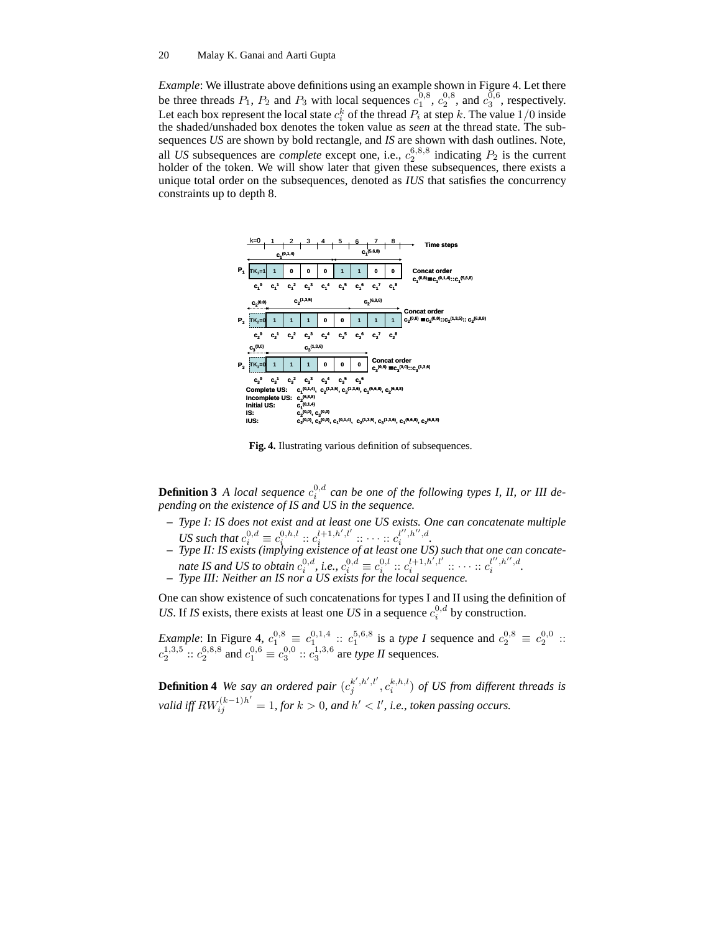*Example*: We illustrate above definitions using an example shown in Figure 4. Let there be three threads  $P_1$ ,  $P_2$  and  $P_3$  with local sequences  $c_1^{0,8}$ ,  $c_2^{0,8}$ , and  $c_3^{0,6}$ , respectively. Let each box represent the local state  $c_i^k$  of the thread  $P_i$  at step  $k$ . The value  $1/0$  inside the shaded/unshaded box denotes the token value as *seen* at the thread state. The subsequences *US* are shown by bold rectangle, and *IS* are shown with dash outlines. Note, all *US* subsequences are *complete* except one, i.e.,  $c_2^{6,8,8}$  indicating  $P_2$  is the current holder of the token. We will show later that given these subsequences, there exists a unique total order on the subsequences, denoted as *IUS* that satisfies the concurrency constraints up to depth 8.



**Fig. 4.** Ilustrating various definition of subsequences.

**Definition 3** *A local sequence*  $c_i^{0,d}$  *can be one of the following types I, II, or III depending on the existence of IS and US in the sequence.*

- **–** *Type I: IS does not exist and at least one US exists. One can concatenate multiple US* such that  $c_i^{0,d} \equiv c_i^{0,h,l} :: c_i^{l+1,h',l'} :: \cdots :: c_i^{l'',h'',d}$
- **–** *Type II: IS exists (implying existence of at least one US) such that one can concatenate IS and US to obtain*  $c_i^{0,d}$ , *i.e.*,  $c_i^{0,d} \equiv c_i^{0,l} :: c_i^{l+1,h',l'} :: \cdots :: c_i^{l'',h'',d}$ .
- **–** *Type III: Neither an IS nor a US exists for the local sequence.*

One can show existence of such concatenations for types I and II using the definition of *US*. If *IS* exists, there exists at least one *US* in a sequence  $c_i^{0,d}$  by construction.

*Example*: In Figure 4,  $c_1^{0,8} \equiv c_1^{0,1,4}$  ::  $c_1^{5,6,8}$  is a *type I* sequence and  $c_2^{0,8} \equiv c_2^{0,0}$  ::  $c_2^{1,3,5} :: c_2^{6,8,8}$  and  $c_1^{0,6} \equiv c_3^{0,0} :: c_3^{1,3,6}$  are *type II* sequences.

**Definition 4** We say an ordered pair  $(c_j^{k',h',l'}, c_i^{k,h,l})$  of US from different threads is *valid iff*  $RW_{ij}^{(k-1)h'} = 1$ , for  $k > 0$ , and  $h' < l'$ , i.e., token passing occurs.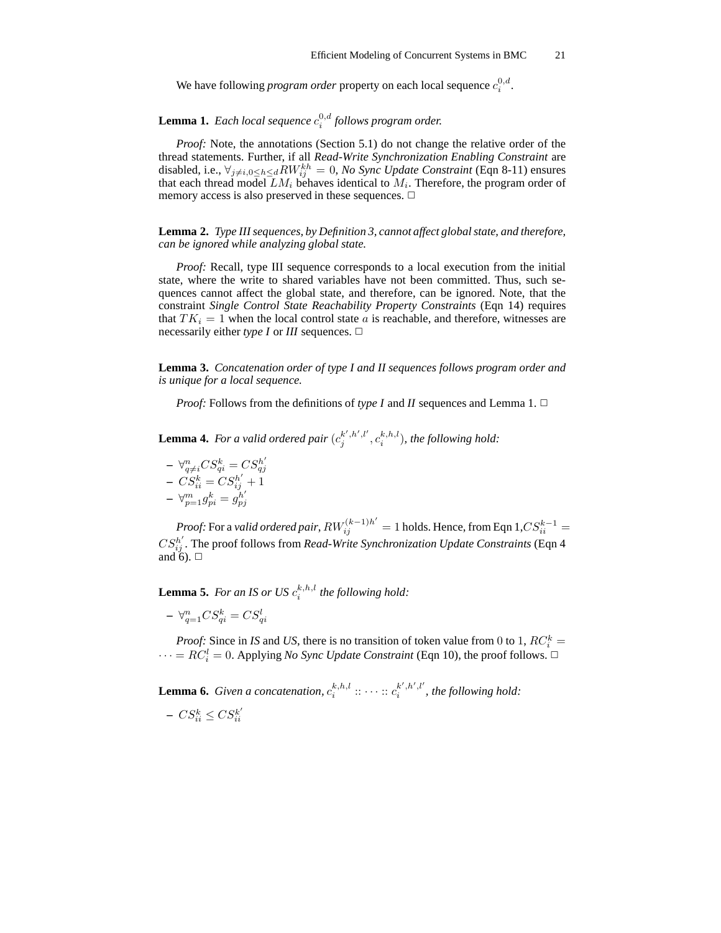We have following *program order* property on each local sequence  $c_i^{0,d}$ .

**Lemma 1.** Each local sequence  $c_i^{0,d}$  follows program order.

*Proof:* Note, the annotations (Section 5.1) do not change the relative order of the thread statements. Further, if all *Read-Write Synchronization Enabling Constraint* are disabled, i.e.,  $\forall_{j\neq i,0\leq h\leq d} RW_{ij}^{kh} = 0$ , *No Sync Update Constraint* (Eqn 8-11) ensures that each thread model  $LM_i$  behaves identical to  $M_i$ . Therefore, the program order of memory access is also preserved in these sequences.  $\Box$ 

**Lemma 2.** *Type III sequences, by Definition 3, cannot affect global state, and therefore, can be ignored while analyzing global state.*

*Proof:* Recall, type III sequence corresponds to a local execution from the initial state, where the write to shared variables have not been committed. Thus, such sequences cannot affect the global state, and therefore, can be ignored. Note, that the constraint *Single Control State Reachability Property Constraints* (Eqn 14) requires that  $TK_i = 1$  when the local control state a is reachable, and therefore, witnesses are necessarily either *type I* or *III* sequences.  $\Box$ 

**Lemma 3.** *Concatenation order of type I and II sequences follows program order and is unique for a local sequence.*

*Proof:* Follows from the definitions of *type I* and *II* sequences and Lemma 1.  $\Box$ 

**Lemma 4.** For a valid ordered pair  $(c_j^{k',h',l'}, c_i^{k,h,l})$ , the following hold:

$$
- \forall_{q \neq i}^{n} CS_{qi}^{k} = CS_{qj}^{h'}
$$
  
-  $CS_{ii}^{k} = CS_{ij}^{h'} + 1$   
-  $\forall_{p=1}^{m} g_{pi}^{k} = g_{pj}^{h'}$ 

*Proof:* For a *valid ordered pair,*  $RW_{ij}^{(k-1)h'} = 1$  *holds. Hence, from Eqn*  $1, CS_{ii}^{k-1} = 1$  $CS_{ij}^{h'}$ . The proof follows from *Read-Write Synchronization Update Constraints* (Eqn 4) and  $6$ ).  $\Box$ 

**Lemma 5.** For an IS or US  $c_i^{k,h,l}$  the following hold:

$$
- \ \forall_{q=1}^{n} CS_{qi}^{k} = CS_{qi}^{l}
$$

*Proof:* Since in *IS* and *US*, there is no transition of token value from 0 to 1,  $RC_i^k =$  $\cdots = RC_i^l = 0$ . Applying *No Sync Update Constraint* (Eqn 10), the proof follows.  $\Box$ 

**Lemma 6.** *Given a concatenation,*  $c_i^{k,h,l}$  ::  $\cdots$  ::  $c_i^{k',h',l'}$ , the following hold:  $\sim \alpha h$ ′

$$
- CS_{ii}^k \le CS_{ii}^k
$$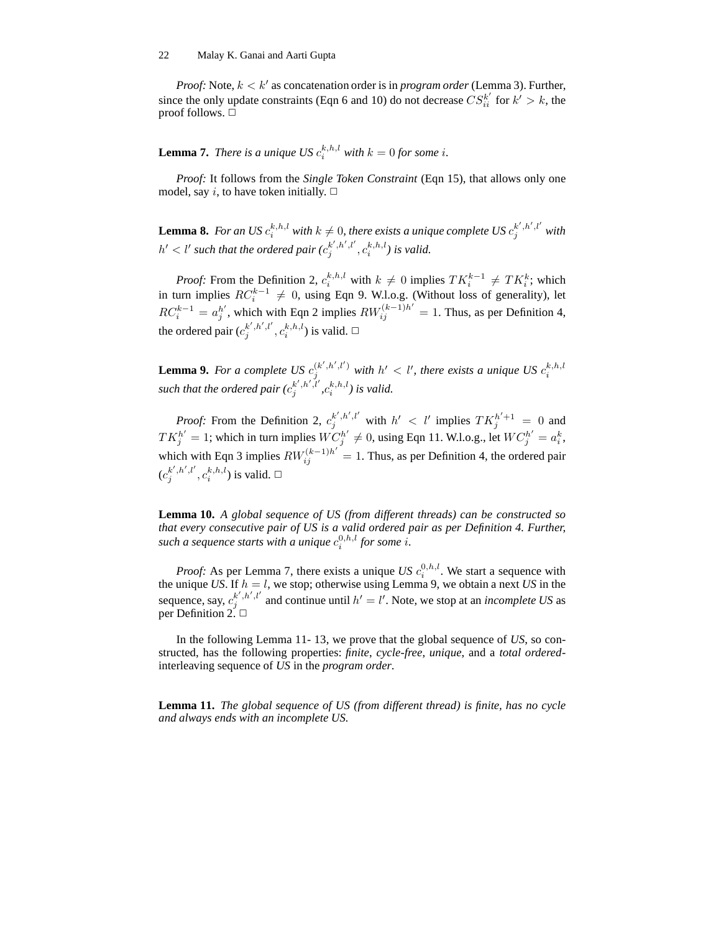*Proof:* Note,  $k < k'$  as concatenation order is in *program order* (Lemma 3). Further, since the only update constraints (Eqn 6 and 10) do not decrease  $CS_{ii}^{k'}$  for  $k' > k$ , the proof follows.  $\Box$ 

**Lemma 7.** *There is a unique US*  $c_i^{k,h,l}$  *with*  $k = 0$  *for some i.* 

*Proof:* It follows from the *Single Token Constraint* (Eqn 15), that allows only one model, say i, to have token initially.  $\Box$ 

**Lemma 8.** For an US  $c_i^{k,h,l}$  with  $k \neq 0$ , there exists a unique complete US  $c_j^{k',h',l'}$  with  $h' < l'$  such that the ordered pair  $(c_j^{k',h',l'}, c_i^{k,h,l})$  is valid.

*Proof:* From the Definition 2,  $c_i^{k,h,l}$  with  $k \neq 0$  implies  $TK_i^{k-1} \neq TK_i^k$ ; which in turn implies  $RC_i^{k-1} \neq 0$ , using Eqn 9. W.l.o.g. (Without loss of generality), let  $RC_i^{k-1} = a_j^{h'}$  $j^{h'}$ , which with Eqn 2 implies  $RW_{ij}^{(k-1)h'} = 1$ . Thus, as per Definition 4, the ordered pair  $(c_j^{k',h',l'}, c_i^{k,h,l})$  is valid.  $\Box$ 

**Lemma 9.** For a complete US  $c_j^{(k',h',l')}$  with  $h' < l'$ , there exists a unique US  $c_i^{k,h,l}$ such that the ordered pair  $(c_j^{k',h',i'}, c_i^{k,h,l})$  is valid.

*Proof:* From the Definition 2,  $c_j^{k',h',l'}$  with  $h' < l'$  implies  $TK_j^{h'+1} = 0$  and  $TK_j^{h'} = 1$ ; which in turn implies  $\widetilde{WC_j^{h'}}$  $j^{th'} \neq 0$ , using Eqn 11. W.l.o.g., let  $WC_j^{h'} = a_i^k$ , which with Eqn 3 implies  $RW_{ij}^{(k-1)h'} = 1$ . Thus, as per Definition 4, the ordered pair  $(c_j^{k',h',l'}, c_i^{k,h,l})$  is valid.  $\Box$ 

**Lemma 10.** *A global sequence of US (from different threads) can be constructed so that every consecutive pair of US is a valid ordered pair as per Definition 4. Further,* such a sequence starts with a unique  $c_i^{0,h,l}$  for some *i*.

*Proof:* As per Lemma 7, there exists a unique *US*  $c_i^{0,h,l}$ . We start a sequence with the unique *US*. If  $h = l$ , we stop; otherwise using Lemma 9, we obtain a next *US* in the sequence, say,  $c_j^{k',h',l'}$  and continue until  $h' = l'$ . Note, we stop at an *incomplete US* as per Definition  $2. \Box$ 

In the following Lemma 11- 13, we prove that the global sequence of *US*, so constructed, has the following properties: *finite*, *cycle-free*, *unique*, and a *total ordered*interleaving sequence of *US* in the *program order*.

**Lemma 11.** *The global sequence of US (from different thread) is finite, has no cycle and always ends with an incomplete US.*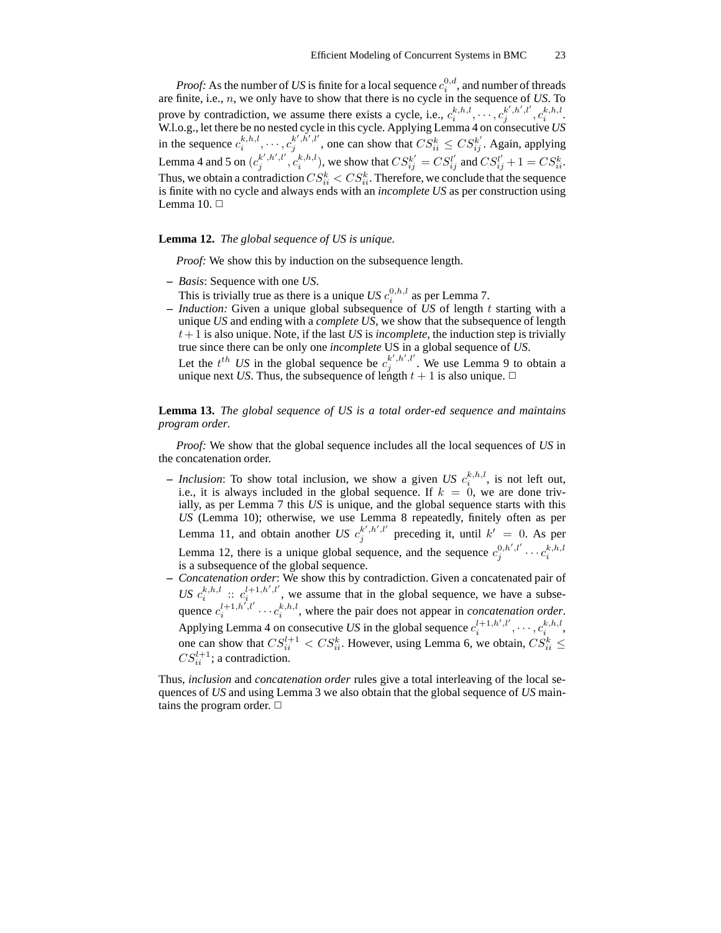*Proof:* As the number of US is finite for a local sequence  $c_i^{0,d}$ , and number of threads *i tooj*. As the number of  $\sigma$ s is finite for a focal sequence  $\epsilon_i$ , and number of the same finite, i.e., *n*, we only have to show that there is no cycle in the sequence of *US*. To prove by contradiction, we assume there exists a cycle, i.e.,  $c_i^{k,h,l}, \dots, c_j^{k',h',l'}, c_i^{k,h,l}$ . W.l.o.g., let there be no nested cycle in this cycle. Applying Lemma 4 on consecutive *US* in the sequence  $c_i^{k,h,l}, \dots, c_j^{k',h',l'}$ , one can show that  $CS_{ii}^k \leq CS_{ij}^{k'}$ . Again, applying Lemma 4 and 5 on  $(c_j^{k',h',l'}, c_i^{k,h,l})$ , we show that  $CS_{ij}^{k'} = CS_{ij}^{l'}$  and  $CS_{ij}^{l'} + 1 = CS_{ii}^k$ . Thus, we obtain a contradiction  $CS_{ii}^k Therefore, we conclude that the sequence$ is finite with no cycle and always ends with an *incomplete US* as per construction using Lemma 10.  $\Box$ 

### **Lemma 12.** *The global sequence of US is unique.*

*Proof:* We show this by induction on the subsequence length.

- **–** *Basis*: Sequence with one *US*.
	- This is trivially true as there is a unique *US*  $c_i^{0,h,l}$  as per Lemma 7.
- **–** *Induction:* Given a unique global subsequence of *US* of length t starting with a unique *US* and ending with a *complete US*, we show that the subsequence of length  $t+1$  is also unique. Note, if the last *US* is *incomplete*, the induction step is trivially true since there can be only one *incomplete* US in a global sequence of *US*. Let the  $t^{th}$  US in the global sequence be  $c_j^{k',h',l'}$ . We use Lemma 9 to obtain a unique next *US*. Thus, the subsequence of length  $t + 1$  is also unique.  $\Box$

**Lemma 13.** *The global sequence of US is a total order-ed sequence and maintains program order.*

*Proof:* We show that the global sequence includes all the local sequences of *US* in the concatenation order.

- $\sim$  *Inclusion*: To show total inclusion, we show a given *US*  $c_i^{k,h,l}$ , is not left out, i.e., it is always included in the global sequence. If  $k = 0$ , we are done trivially, as per Lemma 7 this *US* is unique, and the global sequence starts with this *US* (Lemma 10); otherwise, we use Lemma 8 repeatedly, finitely often as per Lemma 11, and obtain another *US*  $c_j^{k',h',l'}$  preceding it, until  $k' = 0$ . As per Lemma 12, there is a unique global sequence, and the sequence  $c_j^{0,h',l'} \cdots c_i^{k,h,l}$ is a subsequence of the global sequence.
- **–** *Concatenation order*: We show this by contradiction. Given a concatenated pair of *US*  $c_i^{k,h,l}$  ::  $c_i^{l+1,h',l'}$ , we assume that in the global sequence, we have a subsequence  $c_i^{l+1,h',l'} \cdots c_i^{k,h,l}$ , where the pair does not appear in *concatenation order*. Applying Lemma 4 on consecutive *US* in the global sequence  $c_i^{l+1,h',l'}, \dots, c_i^{k,h,l}$ , one can show that  $CS_{ii}^{l+1} < CS_{ii}^k$ . However, using Lemma 6, we obtain,  $CS_{ii}^k \leq$  $CS_{ii}^{l+1}$ ; a contradiction.

Thus, *inclusion* and *concatenation order* rules give a total interleaving of the local sequences of *US* and using Lemma 3 we also obtain that the global sequence of *US* maintains the program order.  $\Box$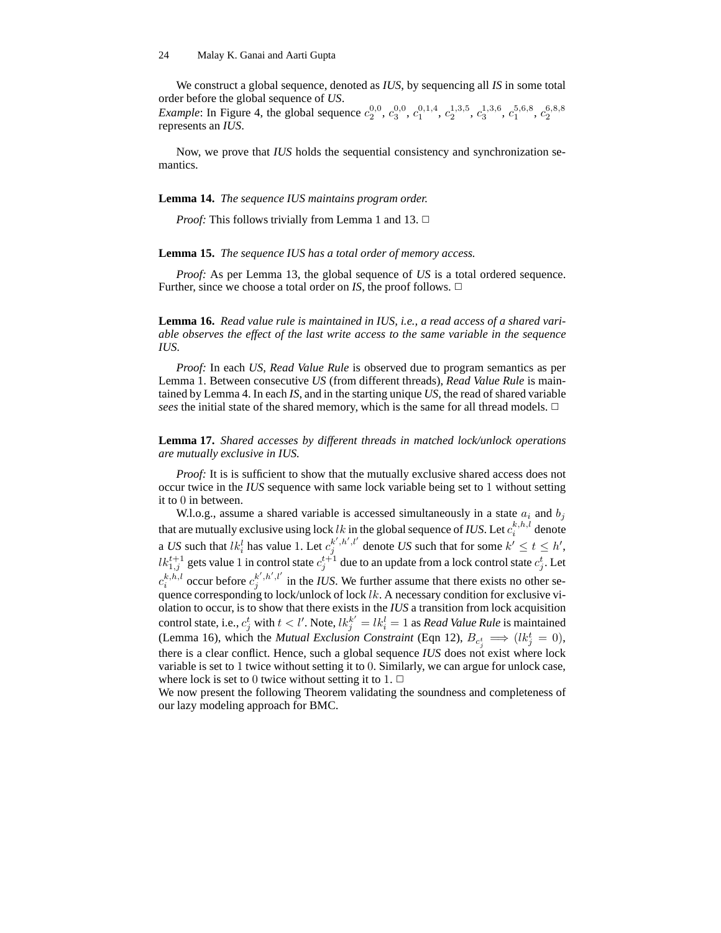We construct a global sequence, denoted as *IUS*, by sequencing all *IS* in some total order before the global sequence of *US*. *Example*: In Figure 4, the global sequence  $c_2^{0,0}$ ,  $c_3^{0,0}$ ,  $c_1^{0,1,4}$ ,  $c_2^{1,3,5}$ ,  $c_3^{1,3,6}$ ,  $c_1^{5,6,8}$ ,  $c_2^{6,8,8}$ represents an *IUS*.

Now, we prove that *IUS* holds the sequential consistency and synchronization semantics.

**Lemma 14.** *The sequence IUS maintains program order.*

*Proof:* This follows trivially from Lemma 1 and 13.  $\Box$ 

**Lemma 15.** *The sequence IUS has a total order of memory access.*

*Proof:* As per Lemma 13, the global sequence of *US* is a total ordered sequence. Further, since we choose a total order on *IS*, the proof follows.  $\Box$ 

**Lemma 16.** *Read value rule is maintained in IUS, i.e., a read access of a shared variable observes the effect of the last write access to the same variable in the sequence IUS.*

*Proof:* In each *US*, *Read Value Rule* is observed due to program semantics as per Lemma 1. Between consecutive *US* (from different threads), *Read Value Rule* is maintained by Lemma 4. In each *IS*, and in the starting unique *US*, the read of shared variable *sees* the initial state of the shared memory, which is the same for all thread models.  $\Box$ 

**Lemma 17.** *Shared accesses by different threads in matched lock/unlock operations are mutually exclusive in IUS.*

*Proof:* It is is sufficient to show that the mutually exclusive shared access does not occur twice in the *IUS* sequence with same lock variable being set to 1 without setting it to 0 in between.

W.l.o.g., assume a shared variable is accessed simultaneously in a state  $a_i$  and  $b_j$ that are mutually exclusive using lock  $lk$  in the global sequence of *IUS*. Let  $c_i^{k,h,l}$  denote a *US* such that  $lk_i^l$  has value 1. Let  $c_i^{k',h',l'}$  denote *US* such that for some  $k' \le t \le h'$ , a US such that  $i\kappa_i$  has value 1. Let  $c_j$  denote US such that for some  $\kappa \leq i \leq n$ ,<br>  $lk_{1,j}^{t+1}$  gets value 1 in control state  $c_j^{t+1}$  due to an update from a lock control state  $c_j^t$ . Let  $c_i^{k,h,l}$  occur before  $c_j^{k',h',l'}$  in the *IUS*. We further assume that there exists no other sequence corresponding to lock/unlock of lock lk. A necessary condition for exclusive violation to occur, is to show that there exists in the *IUS* a transition from lock acquisition control state, i.e.,  $c_j^t$  with  $t < l'$ . Note,  $lk_j^{k'} = lk_i^l = 1$  as *Read Value Rule* is maintained (Lemma 16), which the *Mutual Exclusion Constraint* (Eqn 12),  $B_{c_j^t} \implies (lk_j^t = 0)$ , there is a clear conflict. Hence, such a global sequence *IUS* does not exist where lock variable is set to 1 twice without setting it to 0. Similarly, we can argue for unlock case, where lock is set to 0 twice without setting it to 1.  $\Box$ 

We now present the following Theorem validating the soundness and completeness of our lazy modeling approach for BMC.